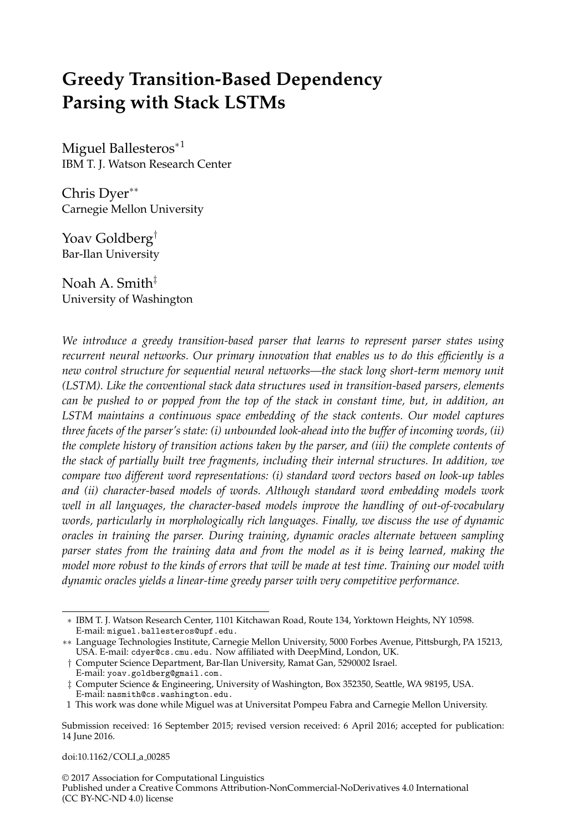# **Greedy Transition-Based Dependency Parsing with Stack LSTMs**

Miguel Ballesteros∗<sup>1</sup> IBM T. J. Watson Research Center

Chris Dyer∗∗ Carnegie Mellon University

Yoav Goldberg† Bar-Ilan University

Noah A. Smith<sup>‡</sup> University of Washington

*We introduce a greedy transition-based parser that learns to represent parser states using recurrent neural networks. Our primary innovation that enables us to do this efficiently is a new control structure for sequential neural networks—the stack long short-term memory unit (LSTM). Like the conventional stack data structures used in transition-based parsers, elements can be pushed to or popped from the top of the stack in constant time, but, in addition, an LSTM maintains a continuous space embedding of the stack contents. Our model captures three facets of the parser's state: (i) unbounded look-ahead into the buffer of incoming words, (ii) the complete history of transition actions taken by the parser, and (iii) the complete contents of the stack of partially built tree fragments, including their internal structures. In addition, we compare two different word representations: (i) standard word vectors based on look-up tables and (ii) character-based models of words. Although standard word embedding models work well in all languages, the character-based models improve the handling of out-of-vocabulary words, particularly in morphologically rich languages. Finally, we discuss the use of dynamic oracles in training the parser. During training, dynamic oracles alternate between sampling parser states from the training data and from the model as it is being learned, making the model more robust to the kinds of errors that will be made at test time. Training our model with dynamic oracles yields a linear-time greedy parser with very competitive performance.*

doi:10.1162/COLI\_a\_00285

© 2017 Association for Computational Linguistics

<sup>∗</sup> IBM T. J. Watson Research Center, 1101 Kitchawan Road, Route 134, Yorktown Heights, NY 10598. E-mail: miguel.ballesteros@upf.edu.

<sup>∗∗</sup> Language Technologies Institute, Carnegie Mellon University, 5000 Forbes Avenue, Pittsburgh, PA 15213, USA. E-mail: cdyer@cs.cmu.edu. Now affiliated with DeepMind, London, UK.

<sup>†</sup> Computer Science Department, Bar-Ilan University, Ramat Gan, 5290002 Israel.

E-mail: yoav.goldberg@gmail.com.

<sup>‡</sup> Computer Science & Engineering, University of Washington, Box 352350, Seattle, WA 98195, USA. E-mail: nasmith@cs.washington.edu.

<sup>1</sup> This work was done while Miguel was at Universitat Pompeu Fabra and Carnegie Mellon University.

Submission received: 16 September 2015; revised version received: 6 April 2016; accepted for publication: 14 June 2016.

Published under a Creative Commons Attribution-NonCommercial-NoDerivatives 4.0 International (CC BY-NC-ND 4.0) license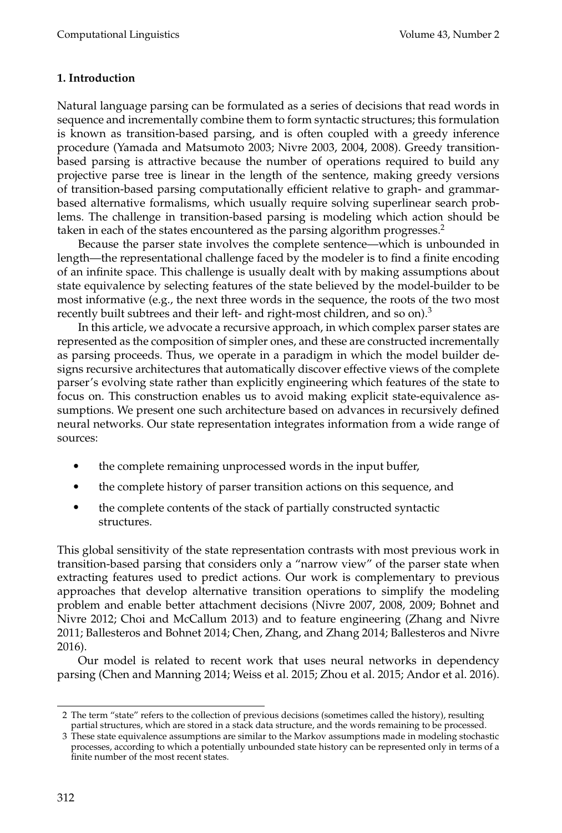# **1. Introduction**

Natural language parsing can be formulated as a series of decisions that read words in sequence and incrementally combine them to form syntactic structures; this formulation is known as transition-based parsing, and is often coupled with a greedy inference procedure (Yamada and Matsumoto 2003; Nivre 2003, 2004, 2008). Greedy transitionbased parsing is attractive because the number of operations required to build any projective parse tree is linear in the length of the sentence, making greedy versions of transition-based parsing computationally efficient relative to graph- and grammarbased alternative formalisms, which usually require solving superlinear search problems. The challenge in transition-based parsing is modeling which action should be taken in each of the states encountered as the parsing algorithm progresses.<sup>2</sup>

Because the parser state involves the complete sentence—which is unbounded in length—the representational challenge faced by the modeler is to find a finite encoding of an infinite space. This challenge is usually dealt with by making assumptions about state equivalence by selecting features of the state believed by the model-builder to be most informative (e.g., the next three words in the sequence, the roots of the two most recently built subtrees and their left- and right-most children, and so on).<sup>3</sup>

In this article, we advocate a recursive approach, in which complex parser states are represented as the composition of simpler ones, and these are constructed incrementally as parsing proceeds. Thus, we operate in a paradigm in which the model builder designs recursive architectures that automatically discover effective views of the complete parser's evolving state rather than explicitly engineering which features of the state to focus on. This construction enables us to avoid making explicit state-equivalence assumptions. We present one such architecture based on advances in recursively defined neural networks. Our state representation integrates information from a wide range of sources:

- $\bullet$ the complete remaining unprocessed words in the input buffer,
- $\bullet$ the complete history of parser transition actions on this sequence, and
- $\bullet$ the complete contents of the stack of partially constructed syntactic structures.

This global sensitivity of the state representation contrasts with most previous work in transition-based parsing that considers only a "narrow view" of the parser state when extracting features used to predict actions. Our work is complementary to previous approaches that develop alternative transition operations to simplify the modeling problem and enable better attachment decisions (Nivre 2007, 2008, 2009; Bohnet and Nivre 2012; Choi and McCallum 2013) and to feature engineering (Zhang and Nivre 2011; Ballesteros and Bohnet 2014; Chen, Zhang, and Zhang 2014; Ballesteros and Nivre 2016).

Our model is related to recent work that uses neural networks in dependency parsing (Chen and Manning 2014; Weiss et al. 2015; Zhou et al. 2015; Andor et al. 2016).

<sup>2</sup> The term "state" refers to the collection of previous decisions (sometimes called the history), resulting partial structures, which are stored in a stack data structure, and the words remaining to be processed.

<sup>3</sup> These state equivalence assumptions are similar to the Markov assumptions made in modeling stochastic processes, according to which a potentially unbounded state history can be represented only in terms of a finite number of the most recent states.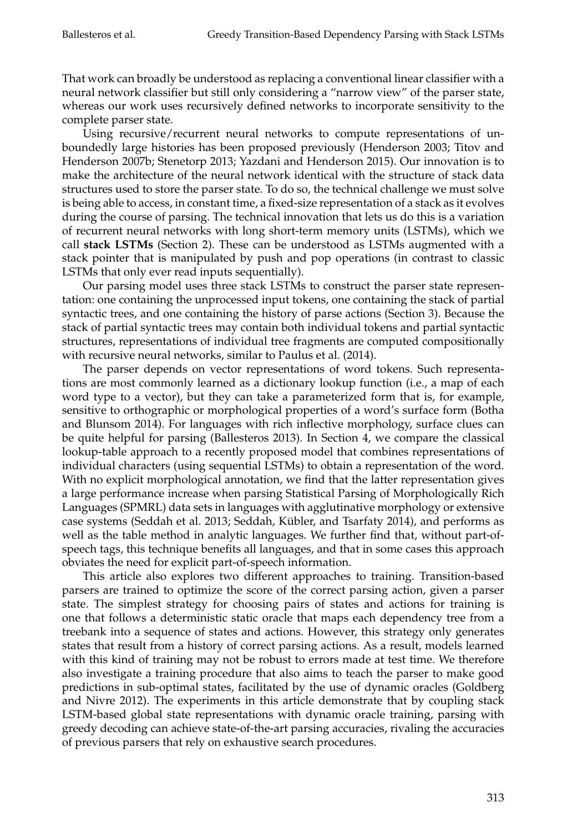That work can broadly be understood as replacing a conventional linear classifier with a neural network classifier but still only considering a "narrow view" of the parser state, whereas our work uses recursively defined networks to incorporate sensitivity to the complete parser state.

Using recursive/recurrent neural networks to compute representations of unboundedly large histories has been proposed previously (Henderson 2003; Titov and Henderson 2007b; Stenetorp 2013; Yazdani and Henderson 2015). Our innovation is to make the architecture of the neural network identical with the structure of stack data structures used to store the parser state. To do so, the technical challenge we must solve is being able to access, in constant time, a fixed-size representation of a stack as it evolves during the course of parsing. The technical innovation that lets us do this is a variation of recurrent neural networks with long short-term memory units (LSTMs), which we call **stack LSTMs** (Section 2). These can be understood as LSTMs augmented with a stack pointer that is manipulated by push and pop operations (in contrast to classic LSTMs that only ever read inputs sequentially).

Our parsing model uses three stack LSTMs to construct the parser state representation: one containing the unprocessed input tokens, one containing the stack of partial syntactic trees, and one containing the history of parse actions (Section 3). Because the stack of partial syntactic trees may contain both individual tokens and partial syntactic structures, representations of individual tree fragments are computed compositionally with recursive neural networks, similar to Paulus et al. (2014).

The parser depends on vector representations of word tokens. Such representations are most commonly learned as a dictionary lookup function (i.e., a map of each word type to a vector), but they can take a parameterized form that is, for example, sensitive to orthographic or morphological properties of a word's surface form (Botha and Blunsom 2014). For languages with rich inflective morphology, surface clues can be quite helpful for parsing (Ballesteros 2013). In Section 4, we compare the classical lookup-table approach to a recently proposed model that combines representations of individual characters (using sequential LSTMs) to obtain a representation of the word. With no explicit morphological annotation, we find that the latter representation gives a large performance increase when parsing Statistical Parsing of Morphologically Rich Languages (SPMRL) data sets in languages with agglutinative morphology or extensive case systems (Seddah et al. 2013; Seddah, Kübler, and Tsarfaty 2014), and performs as well as the table method in analytic languages. We further find that, without part-ofspeech tags, this technique benefits all languages, and that in some cases this approach obviates the need for explicit part-of-speech information.

This article also explores two different approaches to training. Transition-based parsers are trained to optimize the score of the correct parsing action, given a parser state. The simplest strategy for choosing pairs of states and actions for training is one that follows a deterministic static oracle that maps each dependency tree from a treebank into a sequence of states and actions. However, this strategy only generates states that result from a history of correct parsing actions. As a result, models learned with this kind of training may not be robust to errors made at test time. We therefore also investigate a training procedure that also aims to teach the parser to make good predictions in sub-optimal states, facilitated by the use of dynamic oracles (Goldberg and Nivre 2012). The experiments in this article demonstrate that by coupling stack LSTM-based global state representations with dynamic oracle training, parsing with greedy decoding can achieve state-of-the-art parsing accuracies, rivaling the accuracies of previous parsers that rely on exhaustive search procedures.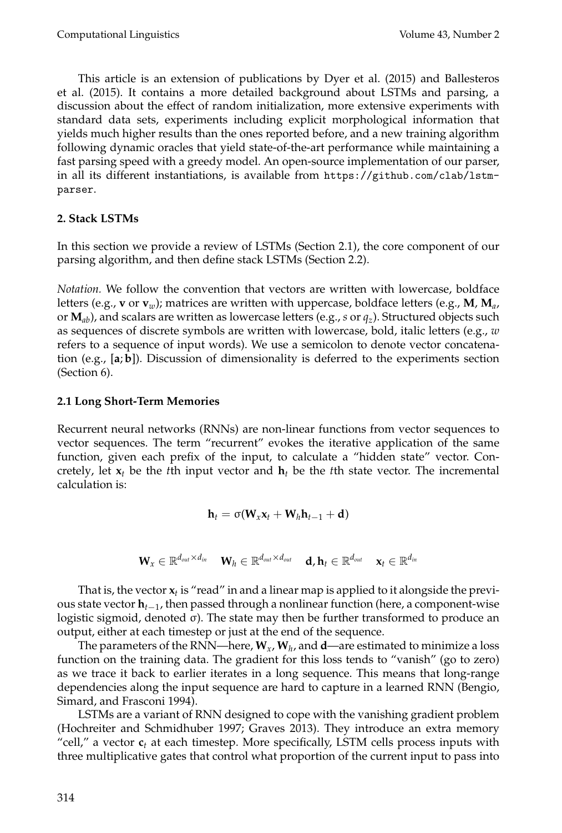This article is an extension of publications by Dyer et al. (2015) and Ballesteros et al. (2015). It contains a more detailed background about LSTMs and parsing, a discussion about the effect of random initialization, more extensive experiments with standard data sets, experiments including explicit morphological information that yields much higher results than the ones reported before, and a new training algorithm following dynamic oracles that yield state-of-the-art performance while maintaining a fast parsing speed with a greedy model. An open-source implementation of our parser, in all its different instantiations, is available from https://github.com/clab/lstmparser.

# **2. Stack LSTMs**

In this section we provide a review of LSTMs (Section 2.1), the core component of our parsing algorithm, and then define stack LSTMs (Section 2.2).

*Notation.* We follow the convention that vectors are written with lowercase, boldface letters (e.g., **v** or **v***w*); matrices are written with uppercase, boldface letters (e.g., **M**, **M***<sup>a</sup>* , or **M***ab*), and scalars are written as lowercase letters (e.g., *s* or *q<sup>z</sup>* ). Structured objects such as sequences of discrete symbols are written with lowercase, bold, italic letters (e.g., *w* refers to a sequence of input words). We use a semicolon to denote vector concatenation (e.g., [**a**; **b**]). Discussion of dimensionality is deferred to the experiments section (Section 6).

# **2.1 Long Short-Term Memories**

Recurrent neural networks (RNNs) are non-linear functions from vector sequences to vector sequences. The term "recurrent" evokes the iterative application of the same function, given each prefix of the input, to calculate a "hidden state" vector. Concretely, let  $x_t$  be the *t*th input vector and  $h_t$  be the *t*th state vector. The incremental calculation is:

$$
\mathbf{h}_t = \sigma(\mathbf{W}_x \mathbf{x}_t + \mathbf{W}_h \mathbf{h}_{t-1} + \mathbf{d})
$$

$$
\mathbf{W}_{\text{x}} \in \mathbb{R}^{d_{out} \times d_{in}} \quad \mathbf{W}_{h} \in \mathbb{R}^{d_{out} \times d_{out}} \quad \mathbf{d}, \mathbf{h}_{t} \in \mathbb{R}^{d_{out}} \quad \mathbf{x}_{t} \in \mathbb{R}^{d_{in}}
$$

That is, the vector  $\mathbf{x}_t$  is "read" in and a linear map is applied to it alongside the previous state vector **h***t*−<sup>1</sup> , then passed through a nonlinear function (here, a component-wise logistic sigmoid, denoted σ). The state may then be further transformed to produce an output, either at each timestep or just at the end of the sequence.

The parameters of the RNN—here,  $\mathbf{W}_{x}$ ,  $\mathbf{W}_{h}$ , and  $\mathbf{d}$ —are estimated to minimize a loss function on the training data. The gradient for this loss tends to "vanish" (go to zero) as we trace it back to earlier iterates in a long sequence. This means that long-range dependencies along the input sequence are hard to capture in a learned RNN (Bengio, Simard, and Frasconi 1994).

LSTMs are a variant of RNN designed to cope with the vanishing gradient problem (Hochreiter and Schmidhuber 1997; Graves 2013). They introduce an extra memory "cell," a vector  $c_t$  at each timestep. More specifically, LSTM cells process inputs with three multiplicative gates that control what proportion of the current input to pass into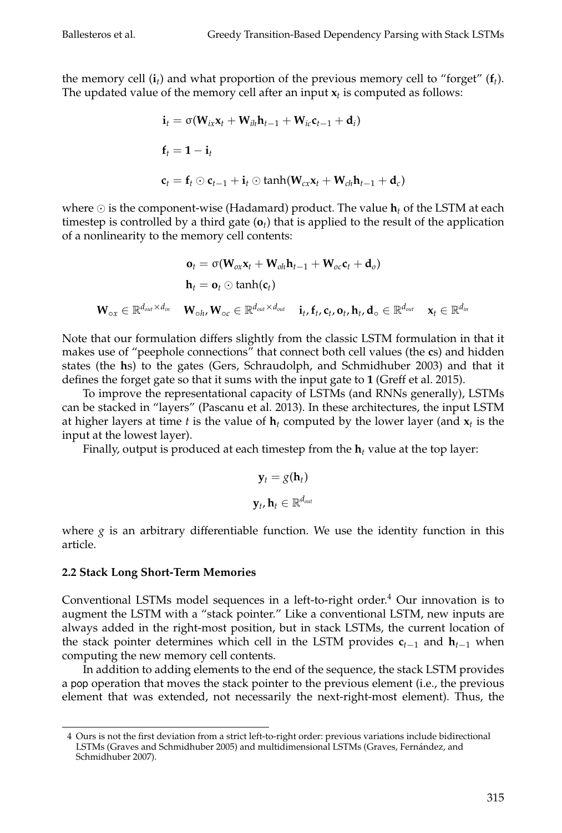the memory cell  $(i_t)$  and what proportion of the previous memory cell to "forget"  $(f_t)$ . The updated value of the memory cell after an input **x***<sup>t</sup>* is computed as follows:

$$
\mathbf{i}_t = \sigma(\mathbf{W}_{ix}\mathbf{x}_t + \mathbf{W}_{ih}\mathbf{h}_{t-1} + \mathbf{W}_{ic}\mathbf{c}_{t-1} + \mathbf{d}_i)
$$
  
\n
$$
\mathbf{f}_t = \mathbf{1} - \mathbf{i}_t
$$
  
\n
$$
\mathbf{c}_t = \mathbf{f}_t \odot \mathbf{c}_{t-1} + \mathbf{i}_t \odot \tanh(\mathbf{W}_{cx}\mathbf{x}_t + \mathbf{W}_{ch}\mathbf{h}_{t-1} + \mathbf{d}_c)
$$

where  $\odot$  is the component-wise (Hadamard) product. The value  $\mathbf{h}_t$  of the LSTM at each timestep is controlled by a third gate  $(\mathbf{o}_t)$  that is applied to the result of the application of a nonlinearity to the memory cell contents:

$$
\mathbf{o}_t = \sigma(\mathbf{W}_{ox} \mathbf{x}_t + \mathbf{W}_{oh} \mathbf{h}_{t-1} + \mathbf{W}_{oc} \mathbf{c}_t + \mathbf{d}_o)
$$

$$
\mathbf{h}_t = \mathbf{o}_t \odot \tanh(\mathbf{c}_t)
$$

$$
\mathbf{W}_{ox} \in \mathbb{R}^{d_{out} \times d_{in}} \quad \mathbf{W}_{oh}, \mathbf{W}_{oc} \in \mathbb{R}^{d_{out} \times d_{out}} \quad \mathbf{i}_t, \mathbf{f}_t, \mathbf{c}_t, \mathbf{o}_t, \mathbf{h}_t, \mathbf{d}_o \in \mathbb{R}^{d_{out}} \quad \mathbf{x}_t \in \mathbb{R}^{d_{in}}
$$

Note that our formulation differs slightly from the classic LSTM formulation in that it makes use of "peephole connections" that connect both cell values (the **c**s) and hidden states (the **h**s) to the gates (Gers, Schraudolph, and Schmidhuber 2003) and that it defines the forget gate so that it sums with the input gate to **1** (Greff et al. 2015).

To improve the representational capacity of LSTMs (and RNNs generally), LSTMs can be stacked in "layers" (Pascanu et al. 2013). In these architectures, the input LSTM at higher layers at time  $t$  is the value of  $\mathbf{h}_t$  computed by the lower layer (and  $\mathbf{x}_t$  is the input at the lowest layer).

Finally, output is produced at each timestep from the  $h_t$  value at the top layer:

$$
\mathbf{y}_t = g(\mathbf{h}_t)
$$
  

$$
\mathbf{y}_t, \mathbf{h}_t \in \mathbb{R}^{d_{out}}
$$

where  $g$  is an arbitrary differentiable function. We use the identity function in this article.

# **2.2 Stack Long Short-Term Memories**

Conventional LSTMs model sequences in a left-to-right order.<sup>4</sup> Our innovation is to augment the LSTM with a "stack pointer." Like a conventional LSTM, new inputs are always added in the right-most position, but in stack LSTMs, the current location of the stack pointer determines which cell in the LSTM provides **c***t*−<sup>1</sup> and **h***t*−<sup>1</sup> when computing the new memory cell contents.

In addition to adding elements to the end of the sequence, the stack LSTM provides a pop operation that moves the stack pointer to the previous element (i.e., the previous element that was extended, not necessarily the next-right-most element). Thus, the

<sup>4</sup> Ours is not the first deviation from a strict left-to-right order: previous variations include bidirectional LSTMs (Graves and Schmidhuber 2005) and multidimensional LSTMs (Graves, Fernandez, and ´ Schmidhuber 2007).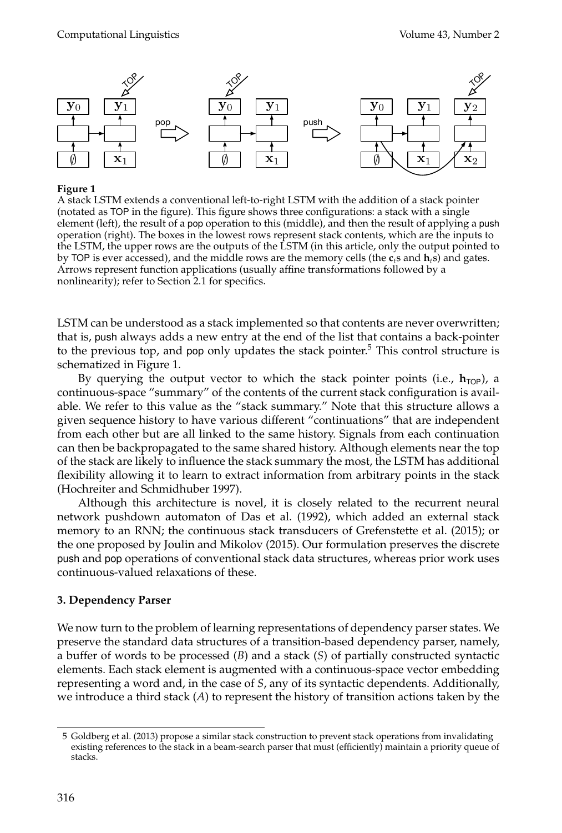

A stack LSTM extends a conventional left-to-right LSTM with the addition of a stack pointer (notated as TOP in the figure). This figure shows three configurations: a stack with a single element (left), the result of a pop operation to this (middle), and then the result of applying a push operation (right). The boxes in the lowest rows represent stack contents, which are the inputs to the LSTM, the upper rows are the outputs of the LSTM (in this article, only the output pointed to by TOP is ever accessed), and the middle rows are the memory cells (the  $\mathbf{c}_t$ s and  $\mathbf{h}_t$ s) and gates. Arrows represent function applications (usually affine transformations followed by a nonlinearity); refer to Section 2.1 for specifics.

LSTM can be understood as a stack implemented so that contents are never overwritten; that is, push always adds a new entry at the end of the list that contains a back-pointer to the previous top, and pop only updates the stack pointer.<sup>5</sup> This control structure is schematized in Figure 1.

By querying the output vector to which the stack pointer points (i.e.,  $h_{\text{TOP}}$ ), a continuous-space "summary" of the contents of the current stack configuration is available. We refer to this value as the "stack summary." Note that this structure allows a given sequence history to have various different "continuations" that are independent from each other but are all linked to the same history. Signals from each continuation can then be backpropagated to the same shared history. Although elements near the top of the stack are likely to influence the stack summary the most, the LSTM has additional flexibility allowing it to learn to extract information from arbitrary points in the stack (Hochreiter and Schmidhuber 1997).

Although this architecture is novel, it is closely related to the recurrent neural network pushdown automaton of Das et al. (1992), which added an external stack memory to an RNN; the continuous stack transducers of Grefenstette et al. (2015); or the one proposed by Joulin and Mikolov (2015). Our formulation preserves the discrete push and pop operations of conventional stack data structures, whereas prior work uses continuous-valued relaxations of these.

# **3. Dependency Parser**

We now turn to the problem of learning representations of dependency parser states. We preserve the standard data structures of a transition-based dependency parser, namely, a buffer of words to be processed (*B*) and a stack (*S*) of partially constructed syntactic elements. Each stack element is augmented with a continuous-space vector embedding representing a word and, in the case of *S*, any of its syntactic dependents. Additionally, we introduce a third stack (*A*) to represent the history of transition actions taken by the

<sup>5</sup> Goldberg et al. (2013) propose a similar stack construction to prevent stack operations from invalidating existing references to the stack in a beam-search parser that must (efficiently) maintain a priority queue of stacks.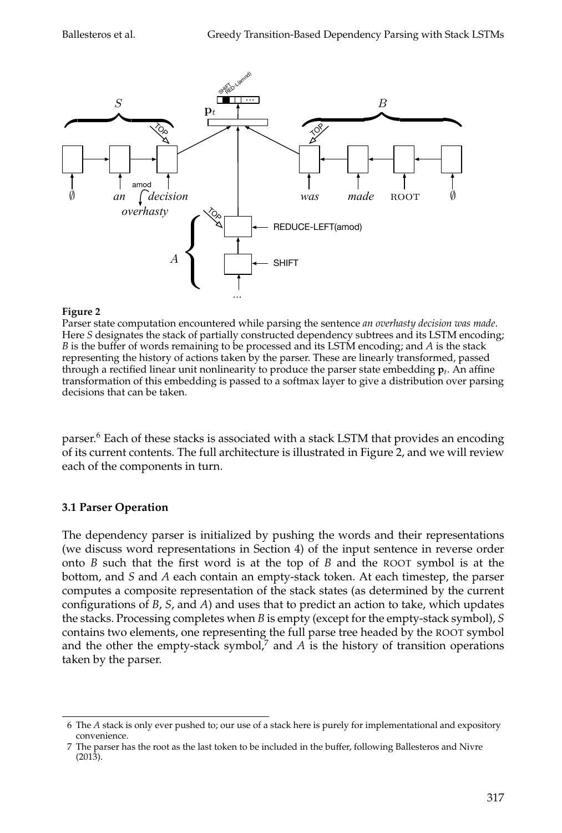

Parser state computation encountered while parsing the sentence *an overhasty decision was made*. Here *S* designates the stack of partially constructed dependency subtrees and its LSTM encoding; *B* is the buffer of words remaining to be processed and its LSTM encoding; and *A* is the stack representing the history of actions taken by the parser. These are linearly transformed, passed through a rectified linear unit nonlinearity to produce the parser state embedding  $\boldsymbol{p}_t$ . An affine transformation of this embedding is passed to a softmax layer to give a distribution over parsing decisions that can be taken.

parser.<sup>6</sup> Each of these stacks is associated with a stack LSTM that provides an encoding of its current contents. The full architecture is illustrated in Figure 2, and we will review each of the components in turn.

### **3.1 Parser Operation**

The dependency parser is initialized by pushing the words and their representations (we discuss word representations in Section 4) of the input sentence in reverse order onto *B* such that the first word is at the top of *B* and the ROOT symbol is at the bottom, and *S* and *A* each contain an empty-stack token. At each timestep, the parser computes a composite representation of the stack states (as determined by the current configurations of *B*, *S*, and *A*) and uses that to predict an action to take, which updates the stacks. Processing completes when *B* is empty (except for the empty-stack symbol), *S* contains two elements, one representing the full parse tree headed by the ROOT symbol and the other the empty-stack symbol,<sup>7</sup> and  $A$  is the history of transition operations taken by the parser.

<sup>6</sup> The *A* stack is only ever pushed to; our use of a stack here is purely for implementational and expository convenience.

<sup>7</sup> The parser has the root as the last token to be included in the buffer, following Ballesteros and Nivre (2013).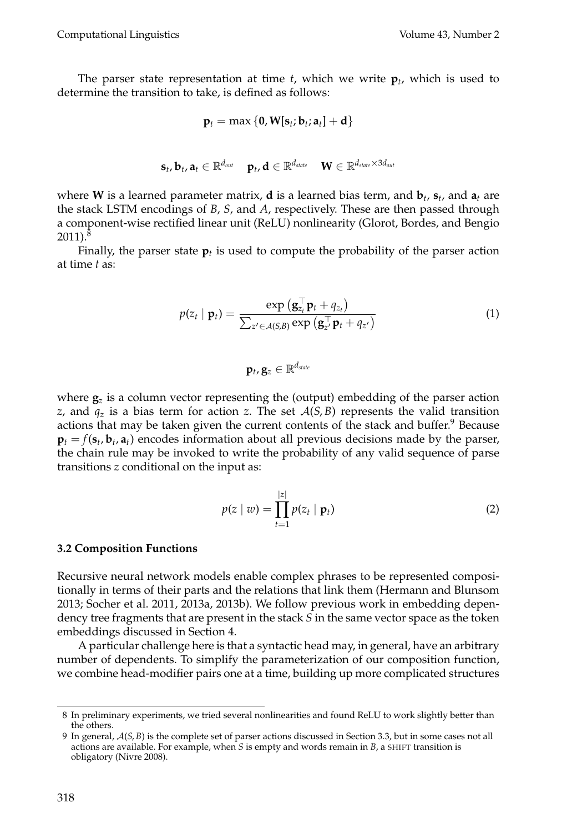The parser state representation at time *t*, which we write **p***<sup>t</sup>* , which is used to determine the transition to take, is defined as follows:

$$
\mathbf{p}_t = \max\left\{\mathbf{0}, \mathbf{W}[\mathbf{s}_t; \mathbf{b}_t; \mathbf{a}_t] + \mathbf{d}\right\}
$$
  

$$
\mathbf{s}_t, \mathbf{b}_t, \mathbf{a}_t \in \mathbb{R}^{d_{out}} \quad \mathbf{p}_t, \mathbf{d} \in \mathbb{R}^{d_{state}} \quad \mathbf{W} \in \mathbb{R}^{d_{state} \times 3d_{out}}
$$

where **W** is a learned parameter matrix, **d** is a learned bias term, and **b***<sup>t</sup>* , **s***<sup>t</sup>* , and **a***<sup>t</sup>* are the stack LSTM encodings of *B*, *S*, and *A*, respectively. These are then passed through a component-wise rectified linear unit (ReLU) nonlinearity (Glorot, Bordes, and Bengio 2011).<sup>8</sup>

Finally, the parser state  $\boldsymbol{p}_t$  is used to compute the probability of the parser action at time *t* as:

$$
p(z_t | \mathbf{p}_t) = \frac{\exp\left(\mathbf{g}_{z_t}^{\top} \mathbf{p}_t + q_{z_t}\right)}{\sum_{z' \in A(S, B)} \exp\left(\mathbf{g}_{z'}^{\top} \mathbf{p}_t + q_{z'}\right)}
$$
(1)

$$
\mathbf{p}_t, \mathbf{g}_z \in \mathbb{R}^{d_{state}}
$$

where **g***<sup>z</sup>* is a column vector representing the (output) embedding of the parser action *z*, and  $q_z$  is a bias term for action *z*. The set  $A(S, B)$  represents the valid transition actions that may be taken given the current contents of the stack and buffer.<sup>9</sup> Because  ${\bf p}_t = f({\bf s}_t, {\bf b}_t, {\bf a}_t)$  encodes information about all previous decisions made by the parser, the chain rule may be invoked to write the probability of any valid sequence of parse transitions *z* conditional on the input as:

$$
p(z \mid w) = \prod_{t=1}^{|z|} p(z_t \mid \mathbf{p}_t)
$$
\n
$$
(2)
$$

#### **3.2 Composition Functions**

Recursive neural network models enable complex phrases to be represented compositionally in terms of their parts and the relations that link them (Hermann and Blunsom 2013; Socher et al. 2011, 2013a, 2013b). We follow previous work in embedding dependency tree fragments that are present in the stack *S* in the same vector space as the token embeddings discussed in Section 4.

A particular challenge here is that a syntactic head may, in general, have an arbitrary number of dependents. To simplify the parameterization of our composition function, we combine head-modifier pairs one at a time, building up more complicated structures

<sup>8</sup> In preliminary experiments, we tried several nonlinearities and found ReLU to work slightly better than the others.

<sup>9</sup> In general, A(*S*, *B*) is the complete set of parser actions discussed in Section 3.3, but in some cases not all actions are available. For example, when *S* is empty and words remain in *B*, a SHIFT transition is obligatory (Nivre 2008).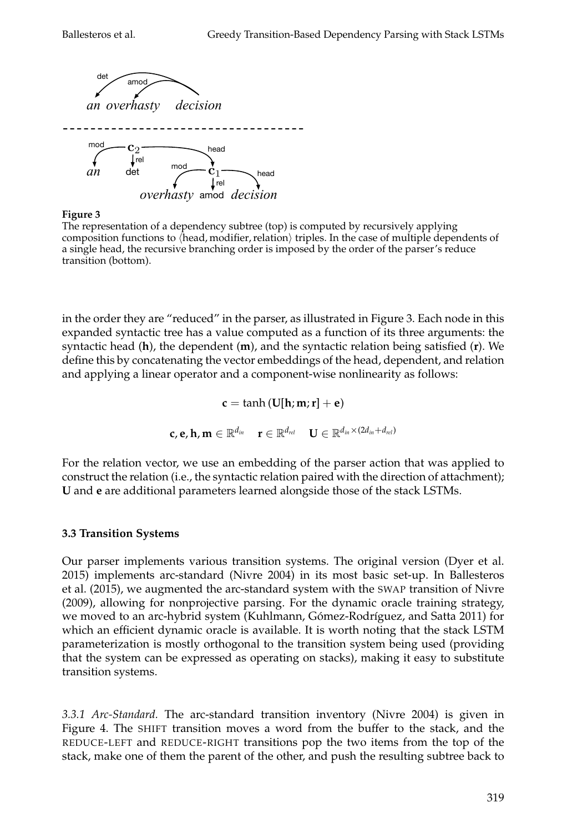

The representation of a dependency subtree (top) is computed by recursively applying composition functions to  $\langle$ head, modifier, relation $\rangle$  triples. In the case of multiple dependents of a single head, the recursive branching order is imposed by the order of the parser's reduce transition (bottom).

in the order they are "reduced" in the parser, as illustrated in Figure 3. Each node in this expanded syntactic tree has a value computed as a function of its three arguments: the syntactic head (**h**), the dependent (**m**), and the syntactic relation being satisfied (**r**). We define this by concatenating the vector embeddings of the head, dependent, and relation and applying a linear operator and a component-wise nonlinearity as follows:

$$
\mathbf{c} = \tanh\left(\mathbf{U}[\mathbf{h};\mathbf{m};\mathbf{r}]+\mathbf{e}\right)
$$

 $\mathbf{c}$ , **e**, **h**,  $\mathbf{m} \in \mathbb{R}^{d_{in}}$   $\mathbf{r} \in \mathbb{R}^{d_{rel}}$   $\mathbf{U} \in \mathbb{R}^{d_{in} \times (2d_{in} + d_{rel})}$ 

For the relation vector, we use an embedding of the parser action that was applied to construct the relation (i.e., the syntactic relation paired with the direction of attachment); **U** and **e** are additional parameters learned alongside those of the stack LSTMs.

# **3.3 Transition Systems**

Our parser implements various transition systems. The original version (Dyer et al. 2015) implements arc-standard (Nivre 2004) in its most basic set-up. In Ballesteros et al. (2015), we augmented the arc-standard system with the SWAP transition of Nivre (2009), allowing for nonprojective parsing. For the dynamic oracle training strategy, we moved to an arc-hybrid system (Kuhlmann, Gómez-Rodríguez, and Satta 2011) for which an efficient dynamic oracle is available. It is worth noting that the stack LSTM parameterization is mostly orthogonal to the transition system being used (providing that the system can be expressed as operating on stacks), making it easy to substitute transition systems.

*3.3.1 Arc-Standard.* The arc-standard transition inventory (Nivre 2004) is given in Figure 4. The SHIFT transition moves a word from the buffer to the stack, and the REDUCE-LEFT and REDUCE-RIGHT transitions pop the two items from the top of the stack, make one of them the parent of the other, and push the resulting subtree back to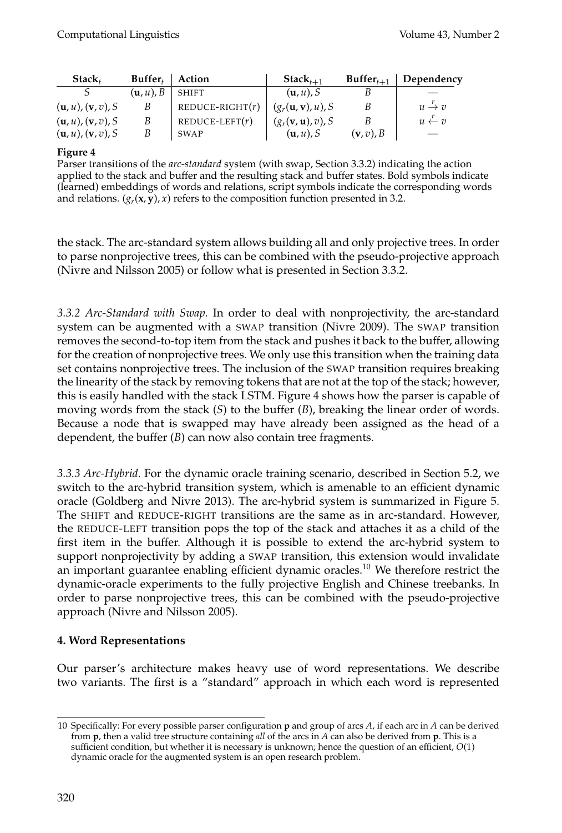| $Stack_t$                                 | Buffer,               | Action            | $Stack_{t+1}$                          | Buffer <sub><math>t+1</math></sub> | Dependency                      |
|-------------------------------------------|-----------------------|-------------------|----------------------------------------|------------------------------------|---------------------------------|
|                                           | $(\mathbf{u}, u)$ , B | <b>SHIFT</b>      | $(\mathbf{u}, u)$ , S                  |                                    |                                 |
| $(\mathbf{u}, u)$ , $(\mathbf{v}, v)$ , S | B                     | $REDUCE-RIGHT(r)$ | $(g_r(\mathbf{u}, \mathbf{v}), u)$ , S |                                    | $u \stackrel{r}{\rightarrow} v$ |
| $(\mathbf{u}, u)$ , $(\mathbf{v}, v)$ , S | B                     | $REDUCE-LEFT(r)$  | $(g_r(\mathbf{v}, \mathbf{u}), v), S$  |                                    | $u \leftarrow v$                |
| $(\mathbf{u}, u)$ , $(\mathbf{v}, v)$ , S |                       | SWAP              | $(\mathbf{u}, u)$ , S                  | (v, v), B                          |                                 |

Parser transitions of the *arc-standard* system (with swap, Section 3.3.2) indicating the action applied to the stack and buffer and the resulting stack and buffer states. Bold symbols indicate (learned) embeddings of words and relations, script symbols indicate the corresponding words and relations.  $(g_r(\mathbf{x}, \mathbf{y}), x)$  refers to the composition function presented in 3.2.

the stack. The arc-standard system allows building all and only projective trees. In order to parse nonprojective trees, this can be combined with the pseudo-projective approach (Nivre and Nilsson 2005) or follow what is presented in Section 3.3.2.

*3.3.2 Arc-Standard with Swap.* In order to deal with nonprojectivity, the arc-standard system can be augmented with a SWAP transition (Nivre 2009). The SWAP transition removes the second-to-top item from the stack and pushes it back to the buffer, allowing for the creation of nonprojective trees. We only use this transition when the training data set contains nonprojective trees. The inclusion of the SWAP transition requires breaking the linearity of the stack by removing tokens that are not at the top of the stack; however, this is easily handled with the stack LSTM. Figure 4 shows how the parser is capable of moving words from the stack (*S*) to the buffer (*B*), breaking the linear order of words. Because a node that is swapped may have already been assigned as the head of a dependent, the buffer (*B*) can now also contain tree fragments.

*3.3.3 Arc-Hybrid.* For the dynamic oracle training scenario, described in Section 5.2, we switch to the arc-hybrid transition system, which is amenable to an efficient dynamic oracle (Goldberg and Nivre 2013). The arc-hybrid system is summarized in Figure 5. The SHIFT and REDUCE-RIGHT transitions are the same as in arc-standard. However, the REDUCE-LEFT transition pops the top of the stack and attaches it as a child of the first item in the buffer. Although it is possible to extend the arc-hybrid system to support nonprojectivity by adding a SWAP transition, this extension would invalidate an important guarantee enabling efficient dynamic oracles.<sup>10</sup> We therefore restrict the dynamic-oracle experiments to the fully projective English and Chinese treebanks. In order to parse nonprojective trees, this can be combined with the pseudo-projective approach (Nivre and Nilsson 2005).

# **4. Word Representations**

Our parser's architecture makes heavy use of word representations. We describe two variants. The first is a "standard" approach in which each word is represented

<sup>10</sup> Specifically: For every possible parser configuration **p** and group of arcs *A*, if each arc in *A* can be derived from **p**, then a valid tree structure containing *all* of the arcs in *A* can also be derived from **p**. This is a sufficient condition, but whether it is necessary is unknown; hence the question of an efficient, *O*(1) dynamic oracle for the augmented system is an open research problem.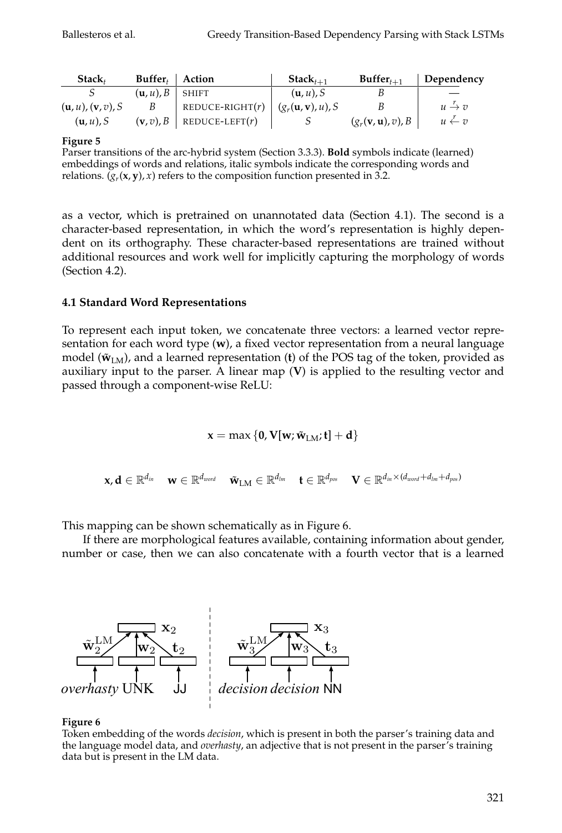| Stack.                                    | $Buffer_{t}$                    | Action                                                   | $Stack_{t+1}$         | Buffer $_{t+1}$                       | Dependency                      |
|-------------------------------------------|---------------------------------|----------------------------------------------------------|-----------------------|---------------------------------------|---------------------------------|
|                                           | $(\mathbf{u}, u)$ , $B$   SHIFT |                                                          | $(\mathbf{u}, u)$ , S |                                       |                                 |
| $(\mathbf{u}, u)$ , $(\mathbf{v}, v)$ , S | B                               | REDUCE-RIGHT $(r)   (g_r(\mathbf{u}, \mathbf{v}), u), S$ |                       |                                       | $u \stackrel{I}{\rightarrow} v$ |
| $(\mathbf{u}, u)$ , S                     |                                 | $(v, v), B$   REDUCE-LEFT $(r)$                          |                       | $(g_r(\mathbf{v}, \mathbf{u}), v), B$ | $u \leftarrow v$                |

Parser transitions of the arc-hybrid system (Section 3.3.3). **Bold** symbols indicate (learned) embeddings of words and relations, italic symbols indicate the corresponding words and relations. (*g<sup>r</sup>* (**x**, **y**), *x*) refers to the composition function presented in 3.2.

as a vector, which is pretrained on unannotated data (Section 4.1). The second is a character-based representation, in which the word's representation is highly dependent on its orthography. These character-based representations are trained without additional resources and work well for implicitly capturing the morphology of words (Section 4.2).

### **4.1 Standard Word Representations**

To represent each input token, we concatenate three vectors: a learned vector representation for each word type (**w**), a fixed vector representation from a neural language model ( $\tilde{\mathbf{w}}_{LM}$ ), and a learned representation (**t**) of the POS tag of the token, provided as auxiliary input to the parser. A linear map (**V**) is applied to the resulting vector and passed through a component-wise ReLU:

$$
\mathbf{x} = \max\left\{0, \mathbf{V}[\mathbf{w}; \tilde{\mathbf{w}}_{LM}; \mathbf{t}] + \mathbf{d}\right\}
$$

 $\mathbf{x}, \mathbf{d} \in \mathbb{R}^{d_{in}} \quad \mathbf{w} \in \mathbb{R}^{d_{word}} \quad \tilde{\mathbf{w}}_{\text{LM}} \in \mathbb{R}^{d_{lm}} \quad \mathbf{t} \in \mathbb{R}^{d_{pos}} \quad \mathbf{V} \in \mathbb{R}^{d_{in} \times (d_{word} + d_{lm} + d_{pos})}$ 

This mapping can be shown schematically as in Figure 6.

If there are morphological features available, containing information about gender, number or case, then we can also concatenate with a fourth vector that is a learned



#### **Figure 6**

Token embedding of the words *decision*, which is present in both the parser's training data and the language model data, and *overhasty*, an adjective that is not present in the parser's training data but is present in the LM data.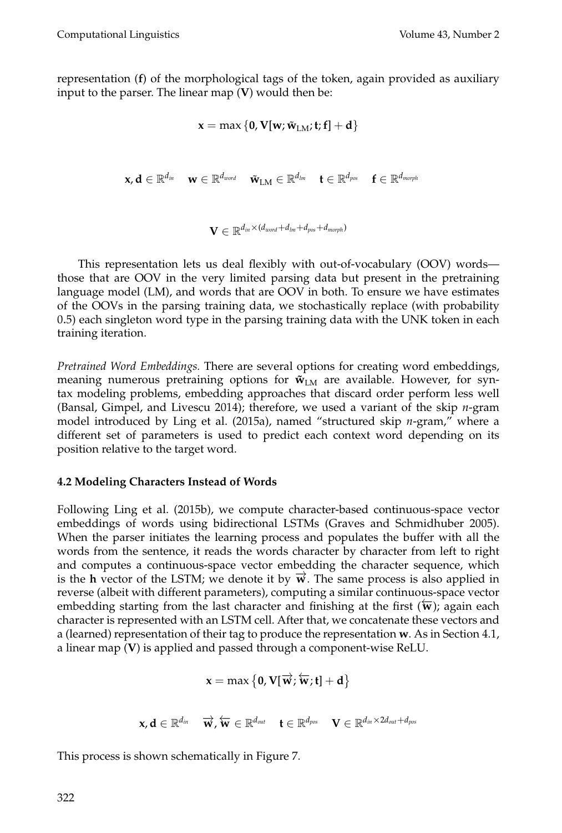representation (**f**) of the morphological tags of the token, again provided as auxiliary input to the parser. The linear map (**V**) would then be:

 $x = \max\{0, V[w; \tilde{w}_{LM}; t; f] + d\}$ 

 $\mathbf{x}, \mathbf{d} \in \mathbb{R}^{d_{in}}$   $\mathbf{w} \in \mathbb{R}^{d_{word}}$   $\mathbf{\tilde{w}}_{\text{LM}} \in \mathbb{R}^{d_{lm}}$   $\mathbf{t} \in \mathbb{R}^{d_{pos}}$   $\mathbf{f} \in \mathbb{R}^{d_{morph}}$ 

 $\mathbf{V} \in \mathbb{R}^{d_{in} \times (d_{word} + d_{lm} + d_{pos} + d_{morph})}$ 

This representation lets us deal flexibly with out-of-vocabulary (OOV) words those that are OOV in the very limited parsing data but present in the pretraining language model (LM), and words that are OOV in both. To ensure we have estimates of the OOVs in the parsing training data, we stochastically replace (with probability 0.5) each singleton word type in the parsing training data with the UNK token in each training iteration.

*Pretrained Word Embeddings.* There are several options for creating word embeddings, meaning numerous pretraining options for  $\mathbf{\tilde{w}}_{LM}$  are available. However, for syntax modeling problems, embedding approaches that discard order perform less well (Bansal, Gimpel, and Livescu 2014); therefore, we used a variant of the skip *n*-gram model introduced by Ling et al. (2015a), named "structured skip *n*-gram," where a different set of parameters is used to predict each context word depending on its position relative to the target word.

### **4.2 Modeling Characters Instead of Words**

Following Ling et al. (2015b), we compute character-based continuous-space vector embeddings of words using bidirectional LSTMs (Graves and Schmidhuber 2005). When the parser initiates the learning process and populates the buffer with all the words from the sentence, it reads the words character by character from left to right and computes a continuous-space vector embedding the character sequence, which is the **h** vector of the LSTM; we denote it by  $\vec{w}$ . The same process is also applied in reverse (albeit with different parameters), computing a similar continuous-space vector embedding starting from the last character and finishing at the first ( $\overline{w}$ ); again each character is represented with an LSTM cell. After that, we concatenate these vectors and a (learned) representation of their tag to produce the representation **w**. As in Section 4.1, a linear map (**V**) is applied and passed through a component-wise ReLU.

$$
x = \max\left\{0, V[\overrightarrow{w}; \overleftarrow{w}; t] + d\right\}
$$

$$
\mathbf{x}, \mathbf{d} \in \mathbb{R}^{d_{in}} \quad \overrightarrow{\mathbf{w}}, \overleftarrow{\mathbf{w}} \in \mathbb{R}^{d_{out}} \quad \mathbf{t} \in \mathbb{R}^{d_{pos}} \quad \mathbf{V} \in \mathbb{R}^{d_{in} \times 2d_{out} + d_{pos}}
$$

This process is shown schematically in Figure 7.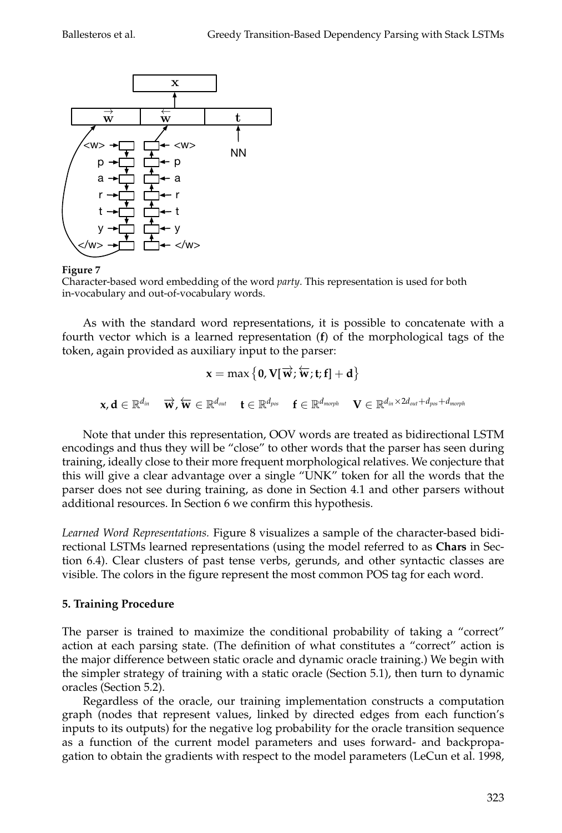

Character-based word embedding of the word *party*. This representation is used for both in-vocabulary and out-of-vocabulary words.

As with the standard word representations, it is possible to concatenate with a fourth vector which is a learned representation (**f**) of the morphological tags of the token, again provided as auxiliary input to the parser:

$$
\mathbf{x} = \max\left\{0, \mathbf{V}[\overrightarrow{\mathbf{w}}; \overleftarrow{\mathbf{w}}; \mathbf{t}; \mathbf{f}] + \mathbf{d}\right\}
$$

$$
\mathbf{x}, \mathbf{d} \in \mathbb{R}^{d_{in}} \quad \overrightarrow{\mathbf{w}}, \overleftarrow{\mathbf{w}} \in \mathbb{R}^{d_{out}} \quad \mathbf{t} \in \mathbb{R}^{d_{pos}} \quad \mathbf{f} \in \mathbb{R}^{d_{morph}} \quad \mathbf{V} \in \mathbb{R}^{d_{in} \times 2d_{out} + d_{pos} + d_{morph}}
$$

Note that under this representation, OOV words are treated as bidirectional LSTM encodings and thus they will be "close" to other words that the parser has seen during training, ideally close to their more frequent morphological relatives. We conjecture that this will give a clear advantage over a single "UNK" token for all the words that the parser does not see during training, as done in Section 4.1 and other parsers without additional resources. In Section 6 we confirm this hypothesis.

*Learned Word Representations.* Figure 8 visualizes a sample of the character-based bidirectional LSTMs learned representations (using the model referred to as **Chars** in Section 6.4). Clear clusters of past tense verbs, gerunds, and other syntactic classes are visible. The colors in the figure represent the most common POS tag for each word.

### **5. Training Procedure**

The parser is trained to maximize the conditional probability of taking a "correct" action at each parsing state. (The definition of what constitutes a "correct" action is the major difference between static oracle and dynamic oracle training.) We begin with the simpler strategy of training with a static oracle (Section 5.1), then turn to dynamic oracles (Section 5.2).

Regardless of the oracle, our training implementation constructs a computation graph (nodes that represent values, linked by directed edges from each function's inputs to its outputs) for the negative log probability for the oracle transition sequence as a function of the current model parameters and uses forward- and backpropagation to obtain the gradients with respect to the model parameters (LeCun et al. 1998,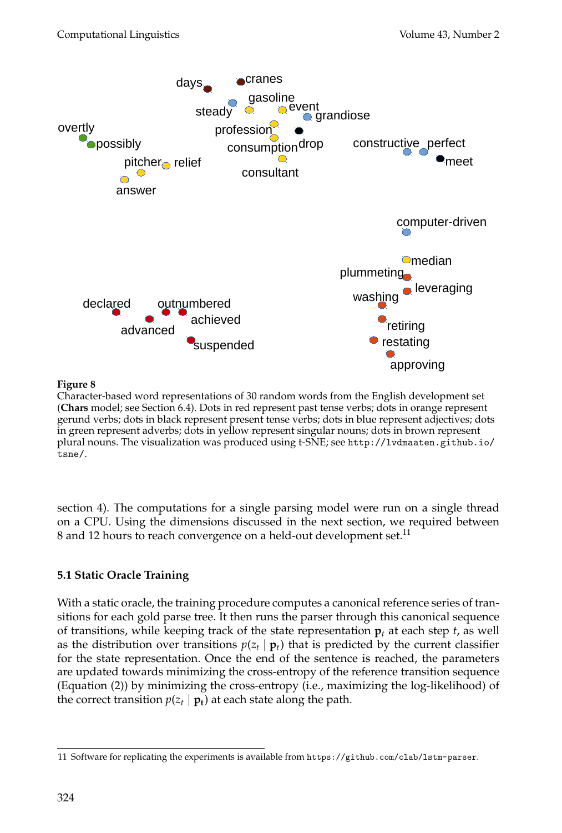

Character-based word representations of 30 random words from the English development set (**Chars** model; see Section 6.4). Dots in red represent past tense verbs; dots in orange represent gerund verbs; dots in black represent present tense verbs; dots in blue represent adjectives; dots in green represent adverbs; dots in yellow represent singular nouns; dots in brown represent plural nouns. The visualization was produced using t-SNE; see http://lvdmaaten.github.io/ tsne/.

section 4). The computations for a single parsing model were run on a single thread on a CPU. Using the dimensions discussed in the next section, we required between 8 and 12 hours to reach convergence on a held-out development set.<sup>11</sup>

# **5.1 Static Oracle Training**

With a static oracle, the training procedure computes a canonical reference series of transitions for each gold parse tree. It then runs the parser through this canonical sequence of transitions, while keeping track of the state representation  $\mathbf{p}_t$  at each step *t*, as well as the distribution over transitions  $p(z_t | p_t)$  that is predicted by the current classifier for the state representation. Once the end of the sentence is reached, the parameters are updated towards minimizing the cross-entropy of the reference transition sequence (Equation (2)) by minimizing the cross-entropy (i.e., maximizing the log-likelihood) of the correct transition  $p(z_t | p_t)$  at each state along the path.

<sup>11</sup> Software for replicating the experiments is available from https://github.com/clab/lstm-parser.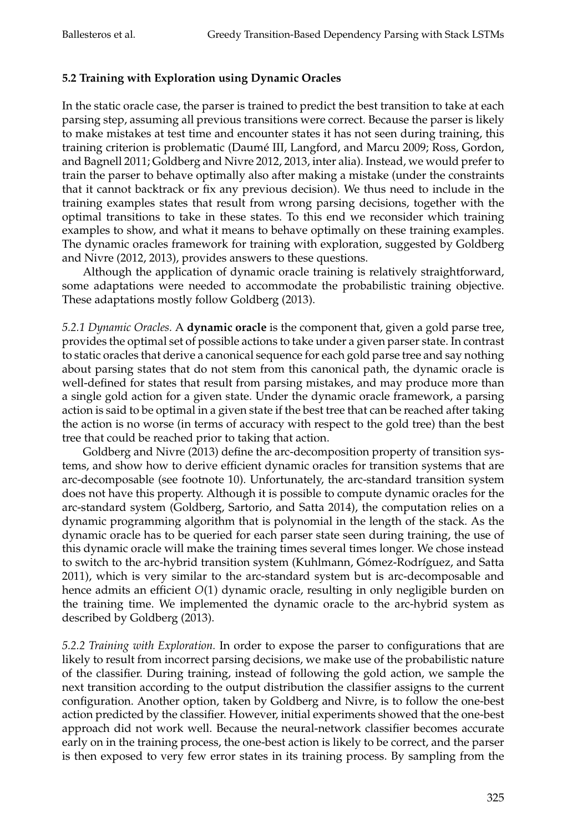### **5.2 Training with Exploration using Dynamic Oracles**

In the static oracle case, the parser is trained to predict the best transition to take at each parsing step, assuming all previous transitions were correct. Because the parser is likely to make mistakes at test time and encounter states it has not seen during training, this training criterion is problematic (Daumé III, Langford, and Marcu 2009; Ross, Gordon, and Bagnell 2011; Goldberg and Nivre 2012, 2013, inter alia). Instead, we would prefer to train the parser to behave optimally also after making a mistake (under the constraints that it cannot backtrack or fix any previous decision). We thus need to include in the training examples states that result from wrong parsing decisions, together with the optimal transitions to take in these states. To this end we reconsider which training examples to show, and what it means to behave optimally on these training examples. The dynamic oracles framework for training with exploration, suggested by Goldberg and Nivre (2012, 2013), provides answers to these questions.

Although the application of dynamic oracle training is relatively straightforward, some adaptations were needed to accommodate the probabilistic training objective. These adaptations mostly follow Goldberg (2013).

*5.2.1 Dynamic Oracles.* A **dynamic oracle** is the component that, given a gold parse tree, provides the optimal set of possible actions to take under a given parser state. In contrast to static oracles that derive a canonical sequence for each gold parse tree and say nothing about parsing states that do not stem from this canonical path, the dynamic oracle is well-defined for states that result from parsing mistakes, and may produce more than a single gold action for a given state. Under the dynamic oracle framework, a parsing action is said to be optimal in a given state if the best tree that can be reached after taking the action is no worse (in terms of accuracy with respect to the gold tree) than the best tree that could be reached prior to taking that action.

Goldberg and Nivre (2013) define the arc-decomposition property of transition systems, and show how to derive efficient dynamic oracles for transition systems that are arc-decomposable (see footnote 10). Unfortunately, the arc-standard transition system does not have this property. Although it is possible to compute dynamic oracles for the arc-standard system (Goldberg, Sartorio, and Satta 2014), the computation relies on a dynamic programming algorithm that is polynomial in the length of the stack. As the dynamic oracle has to be queried for each parser state seen during training, the use of this dynamic oracle will make the training times several times longer. We chose instead to switch to the arc-hybrid transition system (Kuhlmann, Gómez-Rodríguez, and Satta 2011), which is very similar to the arc-standard system but is arc-decomposable and hence admits an efficient *O*(1) dynamic oracle, resulting in only negligible burden on the training time. We implemented the dynamic oracle to the arc-hybrid system as described by Goldberg (2013).

*5.2.2 Training with Exploration.* In order to expose the parser to configurations that are likely to result from incorrect parsing decisions, we make use of the probabilistic nature of the classifier. During training, instead of following the gold action, we sample the next transition according to the output distribution the classifier assigns to the current configuration. Another option, taken by Goldberg and Nivre, is to follow the one-best action predicted by the classifier. However, initial experiments showed that the one-best approach did not work well. Because the neural-network classifier becomes accurate early on in the training process, the one-best action is likely to be correct, and the parser is then exposed to very few error states in its training process. By sampling from the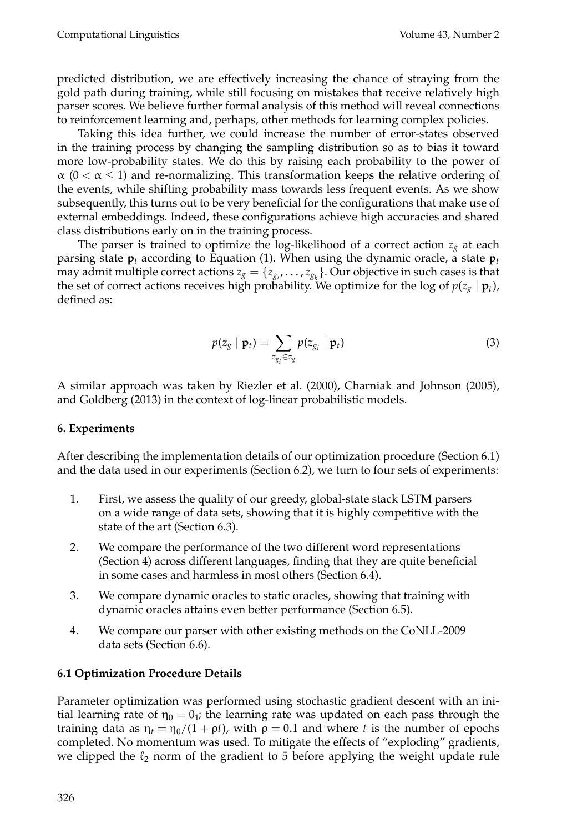predicted distribution, we are effectively increasing the chance of straying from the gold path during training, while still focusing on mistakes that receive relatively high parser scores. We believe further formal analysis of this method will reveal connections to reinforcement learning and, perhaps, other methods for learning complex policies.

Taking this idea further, we could increase the number of error-states observed in the training process by changing the sampling distribution so as to bias it toward more low-probability states. We do this by raising each probability to the power of  $\alpha$  (0  $\lt \alpha \leq$  1) and re-normalizing. This transformation keeps the relative ordering of the events, while shifting probability mass towards less frequent events. As we show subsequently, this turns out to be very beneficial for the configurations that make use of external embeddings. Indeed, these configurations achieve high accuracies and shared class distributions early on in the training process.

The parser is trained to optimize the log-likelihood of a correct action  $z_g$  at each parsing state  $\mathbf{p}_t$  according to Equation (1). When using the dynamic oracle, a state  $\mathbf{p}_t$ may admit multiple correct actions  $z_g = \{z_{g_i}, \ldots, z_{g_k}\}$ . Our objective in such cases is that the set of correct actions receives high probability. We optimize for the log of  $p(z_g | p_t)$ , defined as:

$$
p(z_g \mid \mathbf{p}_t) = \sum_{z_{g_i} \in z_g} p(z_{g_i} \mid \mathbf{p}_t)
$$
\n(3)

A similar approach was taken by Riezler et al. (2000), Charniak and Johnson (2005), and Goldberg (2013) in the context of log-linear probabilistic models.

# **6. Experiments**

After describing the implementation details of our optimization procedure (Section 6.1) and the data used in our experiments (Section 6.2), we turn to four sets of experiments:

- 1. First, we assess the quality of our greedy, global-state stack LSTM parsers on a wide range of data sets, showing that it is highly competitive with the state of the art (Section 6.3).
- 2. We compare the performance of the two different word representations (Section 4) across different languages, finding that they are quite beneficial in some cases and harmless in most others (Section 6.4).
- 3. We compare dynamic oracles to static oracles, showing that training with dynamic oracles attains even better performance (Section 6.5).
- 4. We compare our parser with other existing methods on the CoNLL-2009 data sets (Section 6.6).

# **6.1 Optimization Procedure Details**

Parameter optimization was performed using stochastic gradient descent with an initial learning rate of  $\eta_0 = 0_1$ ; the learning rate was updated on each pass through the training data as  $η_t = η_0/(1 + ρt)$ , with  $ρ = 0.1$  and where *t* is the number of epochs completed. No momentum was used. To mitigate the effects of "exploding" gradients, we clipped the  $\ell_2$  norm of the gradient to 5 before applying the weight update rule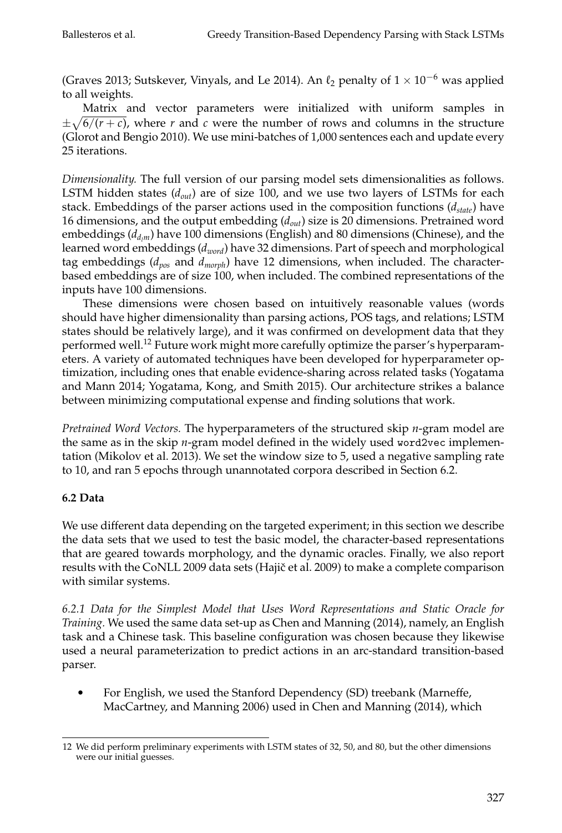(Graves 2013; Sutskever, Vinyals, and Le 2014). An  $\ell_2$  penalty of  $1 \times 10^{-6}$  was applied to all weights.

Matrix and vector parameters were initialized with uniform samples in  $\pm \sqrt{6/(r+c)}$ , where *r* and *c* were the number of rows and columns in the structure (Glorot and Bengio 2010). We use mini-batches of 1,000 sentences each and update every 25 iterations.

*Dimensionality.* The full version of our parsing model sets dimensionalities as follows. LSTM hidden states (*dout*) are of size 100, and we use two layers of LSTMs for each stack. Embeddings of the parser actions used in the composition functions (*dstate*) have 16 dimensions, and the output embedding (*dout*) size is 20 dimensions. Pretrained word embeddings ( $d_{d,m}$ ) have 100 dimensions (English) and 80 dimensions (Chinese), and the learned word embeddings (*dword*) have 32 dimensions. Part of speech and morphological tag embeddings (*dpos* and *dmorph*) have 12 dimensions, when included. The characterbased embeddings are of size 100, when included. The combined representations of the inputs have 100 dimensions.

These dimensions were chosen based on intuitively reasonable values (words should have higher dimensionality than parsing actions, POS tags, and relations; LSTM states should be relatively large), and it was confirmed on development data that they performed well.<sup>12</sup> Future work might more carefully optimize the parser's hyperparameters. A variety of automated techniques have been developed for hyperparameter optimization, including ones that enable evidence-sharing across related tasks (Yogatama and Mann 2014; Yogatama, Kong, and Smith 2015). Our architecture strikes a balance between minimizing computational expense and finding solutions that work.

*Pretrained Word Vectors.* The hyperparameters of the structured skip *n*-gram model are the same as in the skip *n*-gram model defined in the widely used word2vec implementation (Mikolov et al. 2013). We set the window size to 5, used a negative sampling rate to 10, and ran 5 epochs through unannotated corpora described in Section 6.2.

# **6.2 Data**

We use different data depending on the targeted experiment; in this section we describe the data sets that we used to test the basic model, the character-based representations that are geared towards morphology, and the dynamic oracles. Finally, we also report results with the CoNLL 2009 data sets (Hajič et al. 2009) to make a complete comparison with similar systems.

*6.2.1 Data for the Simplest Model that Uses Word Representations and Static Oracle for Training.* We used the same data set-up as Chen and Manning (2014), namely, an English task and a Chinese task. This baseline configuration was chosen because they likewise used a neural parameterization to predict actions in an arc-standard transition-based parser.

r For English, we used the Stanford Dependency (SD) treebank (Marneffe, MacCartney, and Manning 2006) used in Chen and Manning (2014), which

<sup>12</sup> We did perform preliminary experiments with LSTM states of 32, 50, and 80, but the other dimensions were our initial guesses.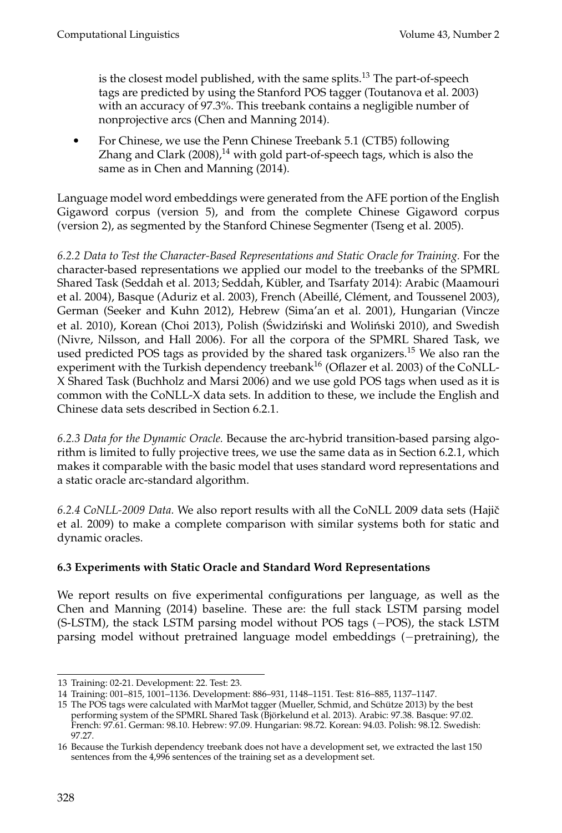is the closest model published, with the same splits.<sup>13</sup> The part-of-speech tags are predicted by using the Stanford POS tagger (Toutanova et al. 2003) with an accuracy of 97.3%. This treebank contains a negligible number of nonprojective arcs (Chen and Manning 2014).

• For Chinese, we use the Penn Chinese Treebank 5.1 (CTB5) following Zhang and Clark  $(2008)^{14}$  with gold part-of-speech tags, which is also the same as in Chen and Manning (2014).

Language model word embeddings were generated from the AFE portion of the English Gigaword corpus (version 5), and from the complete Chinese Gigaword corpus (version 2), as segmented by the Stanford Chinese Segmenter (Tseng et al. 2005).

*6.2.2 Data to Test the Character-Based Representations and Static Oracle for Training.* For the character-based representations we applied our model to the treebanks of the SPMRL Shared Task (Seddah et al. 2013; Seddah, Kübler, and Tsarfaty 2014): Arabic (Maamouri et al. 2004), Basque (Aduriz et al. 2003), French (Abeillé, Clément, and Toussenel 2003), German (Seeker and Kuhn 2012), Hebrew (Sima'an et al. 2001), Hungarian (Vincze et al. 2010), Korean (Choi 2013), Polish (Świdziński and Woliński 2010), and Swedish (Nivre, Nilsson, and Hall 2006). For all the corpora of the SPMRL Shared Task, we used predicted POS tags as provided by the shared task organizers.<sup>15</sup> We also ran the experiment with the Turkish dependency treebank<sup>16</sup> (Oflazer et al. 2003) of the CoNLL-X Shared Task (Buchholz and Marsi 2006) and we use gold POS tags when used as it is common with the CoNLL-X data sets. In addition to these, we include the English and Chinese data sets described in Section 6.2.1.

*6.2.3 Data for the Dynamic Oracle.* Because the arc-hybrid transition-based parsing algorithm is limited to fully projective trees, we use the same data as in Section 6.2.1, which makes it comparable with the basic model that uses standard word representations and a static oracle arc-standard algorithm.

6.2.4 CoNLL-2009 Data. We also report results with all the CoNLL 2009 data sets (Hajič et al. 2009) to make a complete comparison with similar systems both for static and dynamic oracles.

# **6.3 Experiments with Static Oracle and Standard Word Representations**

We report results on five experimental configurations per language, as well as the Chen and Manning (2014) baseline. These are: the full stack LSTM parsing model (S-LSTM), the stack LSTM parsing model without POS tags (−POS), the stack LSTM parsing model without pretrained language model embeddings (−pretraining), the

<sup>13</sup> Training: 02-21. Development: 22. Test: 23.

<sup>14</sup> Training: 001–815, 1001–1136. Development: 886–931, 1148–1151. Test: 816–885, 1137–1147.

<sup>15</sup> The POS tags were calculated with MarMot tagger (Mueller, Schmid, and Schutze 2013) by the best ¨ performing system of the SPMRL Shared Task (Björkelund et al. 2013). Arabic: 97.38. Basque: 97.02. French: 97.61. German: 98.10. Hebrew: 97.09. Hungarian: 98.72. Korean: 94.03. Polish: 98.12. Swedish: 97.27.

<sup>16</sup> Because the Turkish dependency treebank does not have a development set, we extracted the last 150 sentences from the 4,996 sentences of the training set as a development set.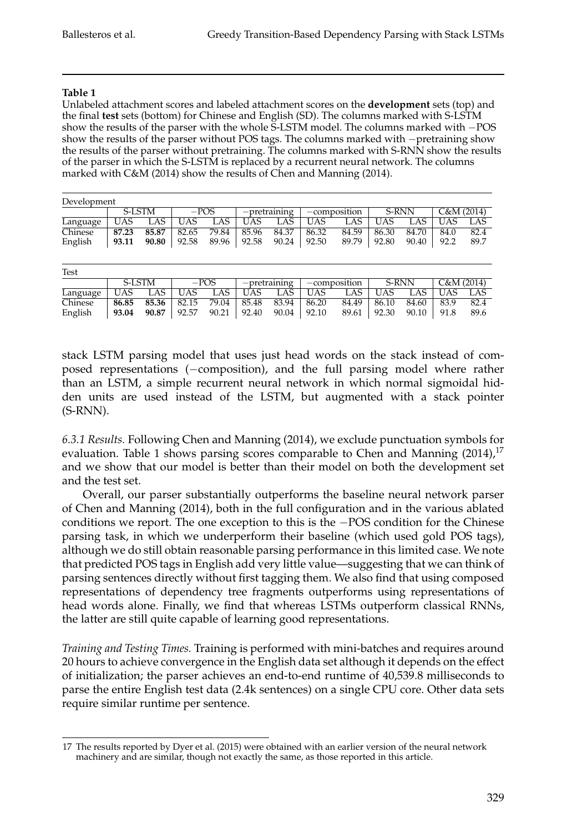Unlabeled attachment scores and labeled attachment scores on the **development** sets (top) and the final **test** sets (bottom) for Chinese and English (SD). The columns marked with S-LSTM show the results of the parser with the whole S-LSTM model. The columns marked with −POS show the results of the parser without POS tags. The columns marked with −pretraining show the results of the parser without pretraining. The columns marked with S-RNN show the results of the parser in which the S-LSTM is replaced by a recurrent neural network. The columns marked with C&M (2014) show the results of Chen and Manning (2014).

| Development                                                                                                |        |         |                                           |  |  |                                                                  |  |                   |  |        |
|------------------------------------------------------------------------------------------------------------|--------|---------|-------------------------------------------|--|--|------------------------------------------------------------------|--|-------------------|--|--------|
|                                                                                                            | S-LSTM | $-$ POS | $-prefraining$ $  -composition$ $ $ S-RNN |  |  |                                                                  |  | $\sim$ C&M (2014) |  |        |
| Language UAS LAS UAS LAS UAS LAS UAS LAS UAS LAS UAS LAS LAS                                               |        |         |                                           |  |  |                                                                  |  |                   |  |        |
| Chinese                                                                                                    |        |         |                                           |  |  | 87.23 85.87 82.65 79.84 85.96 84.37 86.32 84.59 86.30 84.70 84.0 |  |                   |  | 82.4   |
| English   $93.11$ $90.80$   $92.58$ $89.96$   $92.58$ $90.24$   $92.50$ $89.79$   $92.80$ $90.40$   $92.2$ |        |         |                                           |  |  |                                                                  |  |                   |  | - 89.7 |

| <b>Test</b> |       |                                           |                               |               |                                                         |               |              |            |      |
|-------------|-------|-------------------------------------------|-------------------------------|---------------|---------------------------------------------------------|---------------|--------------|------------|------|
|             |       | S-LSTM                                    | $-POS$                        |               | $-prefrainine$ $-composition$                           | S-RNN         |              | C&M (2014) |      |
| Language    |       |                                           |                               |               | UAS LAS UAS LAS UAS LAS LAS UAS LAS UAS LAS UAS LAS LAS |               |              |            |      |
| Chinese     | 86.85 | 85.36   82.15 79.04   85.48 83.94   86.20 |                               |               |                                                         | 84.49 86.10   | 84.60        | 83.9       | 82.4 |
| English     | 93.04 |                                           | $90.87$   92.57 90.21   92.40 | 90.04   92.10 |                                                         | 89.61   92.30 | 90.10   91.8 |            | 89.6 |

stack LSTM parsing model that uses just head words on the stack instead of composed representations (−composition), and the full parsing model where rather than an LSTM, a simple recurrent neural network in which normal sigmoidal hidden units are used instead of the LSTM, but augmented with a stack pointer (S-RNN).

*6.3.1 Results.* Following Chen and Manning (2014), we exclude punctuation symbols for evaluation. Table 1 shows parsing scores comparable to Chen and Manning  $(2014)$ ,<sup>17</sup> and we show that our model is better than their model on both the development set and the test set.

Overall, our parser substantially outperforms the baseline neural network parser of Chen and Manning (2014), both in the full configuration and in the various ablated conditions we report. The one exception to this is the −POS condition for the Chinese parsing task, in which we underperform their baseline (which used gold POS tags), although we do still obtain reasonable parsing performance in this limited case. We note that predicted POS tags in English add very little value—suggesting that we can think of parsing sentences directly without first tagging them. We also find that using composed representations of dependency tree fragments outperforms using representations of head words alone. Finally, we find that whereas LSTMs outperform classical RNNs, the latter are still quite capable of learning good representations.

*Training and Testing Times.* Training is performed with mini-batches and requires around 20 hours to achieve convergence in the English data set although it depends on the effect of initialization; the parser achieves an end-to-end runtime of 40,539.8 milliseconds to parse the entire English test data (2.4k sentences) on a single CPU core. Other data sets require similar runtime per sentence.

<sup>17</sup> The results reported by Dyer et al. (2015) were obtained with an earlier version of the neural network machinery and are similar, though not exactly the same, as those reported in this article.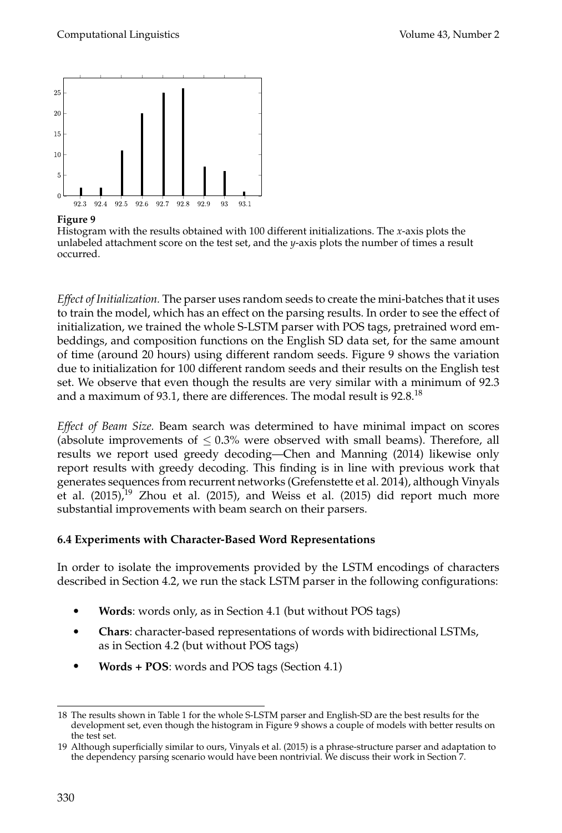

Histogram with the results obtained with 100 different initializations. The *x*-axis plots the unlabeled attachment score on the test set, and the *y*-axis plots the number of times a result occurred.

*Effect of Initialization.* The parser uses random seeds to create the mini-batches that it uses to train the model, which has an effect on the parsing results. In order to see the effect of initialization, we trained the whole S-LSTM parser with POS tags, pretrained word embeddings, and composition functions on the English SD data set, for the same amount of time (around 20 hours) using different random seeds. Figure 9 shows the variation due to initialization for 100 different random seeds and their results on the English test set. We observe that even though the results are very similar with a minimum of 92.3 and a maximum of 93.1, there are differences. The modal result is 92.8.<sup>18</sup>

*Effect of Beam Size.* Beam search was determined to have minimal impact on scores (absolute improvements of  $\leq 0.3\%$  were observed with small beams). Therefore, all results we report used greedy decoding—Chen and Manning (2014) likewise only report results with greedy decoding. This finding is in line with previous work that generates sequences from recurrent networks (Grefenstette et al. 2014), although Vinyals et al.  $(2015)^{19}$  Zhou et al.  $(2015)$ , and Weiss et al.  $(2015)$  did report much more substantial improvements with beam search on their parsers.

# **6.4 Experiments with Character-Based Word Representations**

In order to isolate the improvements provided by the LSTM encodings of characters described in Section 4.2, we run the stack LSTM parser in the following configurations:

- **Words**: words only, as in Section 4.1 (but without POS tags)
- r **Chars**: character-based representations of words with bidirectional LSTMs, as in Section 4.2 (but without POS tags)
- **Words + POS**: words and POS tags (Section 4.1)

<sup>18</sup> The results shown in Table 1 for the whole S-LSTM parser and English-SD are the best results for the development set, even though the histogram in Figure 9 shows a couple of models with better results on the test set.

<sup>19</sup> Although superficially similar to ours, Vinyals et al. (2015) is a phrase-structure parser and adaptation to the dependency parsing scenario would have been nontrivial. We discuss their work in Section 7.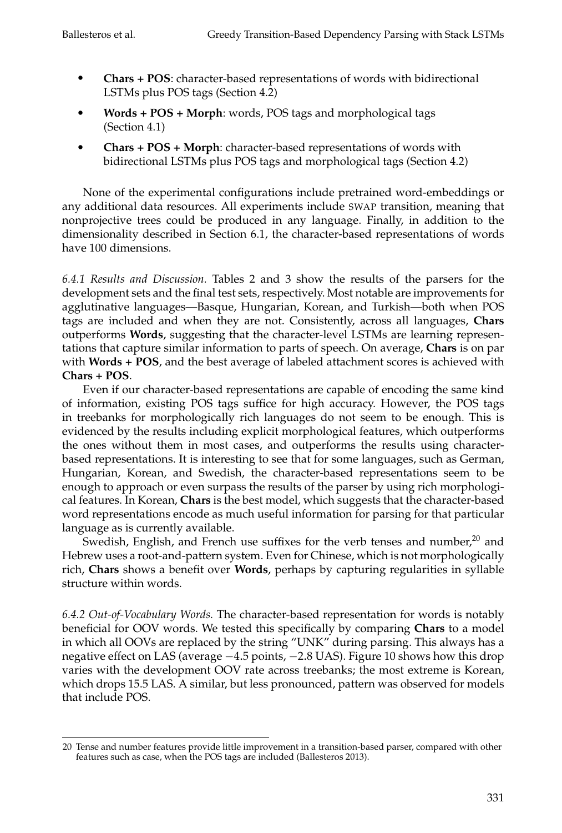- Chars + POS: character-based representations of words with bidirectional LSTMs plus POS tags (Section 4.2)
- Words + POS + Morph: words, POS tags and morphological tags (Section 4.1)
- r **Chars + POS + Morph**: character-based representations of words with bidirectional LSTMs plus POS tags and morphological tags (Section 4.2)

None of the experimental configurations include pretrained word-embeddings or any additional data resources. All experiments include SWAP transition, meaning that nonprojective trees could be produced in any language. Finally, in addition to the dimensionality described in Section 6.1, the character-based representations of words have 100 dimensions.

*6.4.1 Results and Discussion.* Tables 2 and 3 show the results of the parsers for the development sets and the final test sets, respectively. Most notable are improvements for agglutinative languages—Basque, Hungarian, Korean, and Turkish—both when POS tags are included and when they are not. Consistently, across all languages, **Chars** outperforms **Words**, suggesting that the character-level LSTMs are learning representations that capture similar information to parts of speech. On average, **Chars** is on par with **Words + POS**, and the best average of labeled attachment scores is achieved with **Chars + POS**.

Even if our character-based representations are capable of encoding the same kind of information, existing POS tags suffice for high accuracy. However, the POS tags in treebanks for morphologically rich languages do not seem to be enough. This is evidenced by the results including explicit morphological features, which outperforms the ones without them in most cases, and outperforms the results using characterbased representations. It is interesting to see that for some languages, such as German, Hungarian, Korean, and Swedish, the character-based representations seem to be enough to approach or even surpass the results of the parser by using rich morphological features. In Korean, **Chars** is the best model, which suggests that the character-based word representations encode as much useful information for parsing for that particular language as is currently available.

Swedish, English, and French use suffixes for the verb tenses and number, $2^0$  and Hebrew uses a root-and-pattern system. Even for Chinese, which is not morphologically rich, **Chars** shows a benefit over **Words**, perhaps by capturing regularities in syllable structure within words.

*6.4.2 Out-of-Vocabulary Words.* The character-based representation for words is notably beneficial for OOV words. We tested this specifically by comparing **Chars** to a model in which all OOVs are replaced by the string "UNK" during parsing. This always has a negative effect on LAS (average −4.5 points, −2.8 UAS). Figure 10 shows how this drop varies with the development OOV rate across treebanks; the most extreme is Korean, which drops 15.5 LAS. A similar, but less pronounced, pattern was observed for models that include POS.

<sup>20</sup> Tense and number features provide little improvement in a transition-based parser, compared with other features such as case, when the POS tags are included (Ballesteros 2013).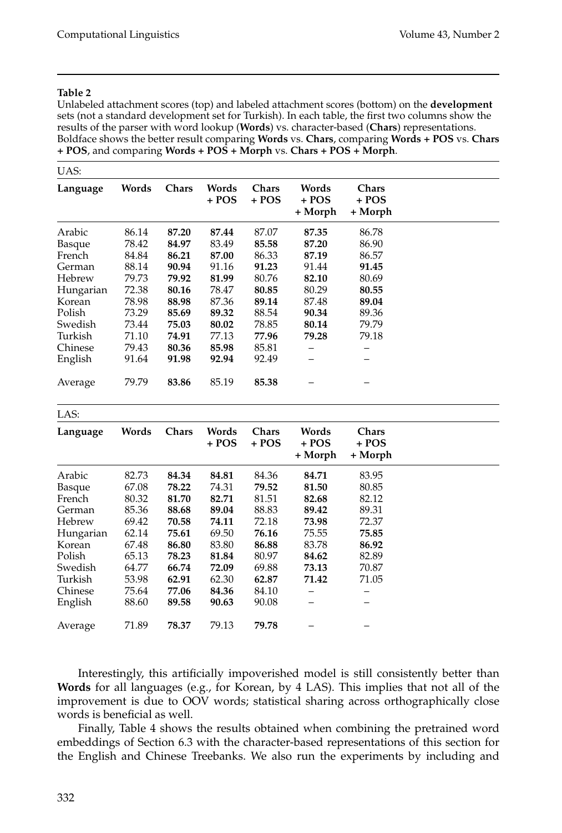Unlabeled attachment scores (top) and labeled attachment scores (bottom) on the **development** sets (not a standard development set for Turkish). In each table, the first two columns show the results of the parser with word lookup (**Words**) vs. character-based (**Chars**) representations. Boldface shows the better result comparing **Words** vs. **Chars**, comparing **Words + POS** vs. **Chars + POS**, and comparing **Words + POS + Morph** vs. **Chars + POS + Morph**.

| UAS:      |       |       |                |                  |                           |                           |  |
|-----------|-------|-------|----------------|------------------|---------------------------|---------------------------|--|
| Language  | Words | Chars | Words<br>+ POS | Chars<br>$+ POS$ | Words<br>+ POS<br>+ Morph | Chars<br>+ POS<br>+ Morph |  |
| Arabic    | 86.14 | 87.20 | 87.44          | 87.07            | 87.35                     | 86.78                     |  |
| Basque    | 78.42 | 84.97 | 83.49          | 85.58            | 87.20                     | 86.90                     |  |
| French    | 84.84 | 86.21 | 87.00          | 86.33            | 87.19                     | 86.57                     |  |
| German    | 88.14 | 90.94 | 91.16          | 91.23            | 91.44                     | 91.45                     |  |
| Hebrew    | 79.73 | 79.92 | 81.99          | 80.76            | 82.10                     | 80.69                     |  |
| Hungarian | 72.38 | 80.16 | 78.47          | 80.85            | 80.29                     | 80.55                     |  |
| Korean    | 78.98 | 88.98 | 87.36          | 89.14            | 87.48                     | 89.04                     |  |
| Polish    | 73.29 | 85.69 | 89.32          | 88.54            | 90.34                     | 89.36                     |  |
| Swedish   | 73.44 | 75.03 | 80.02          | 78.85            | 80.14                     | 79.79                     |  |
| Turkish   | 71.10 | 74.91 | 77.13          | 77.96            | 79.28                     | 79.18                     |  |
| Chinese   | 79.43 | 80.36 | 85.98          | 85.81            |                           |                           |  |
| English   | 91.64 | 91.98 | 92.94          | 92.49            |                           |                           |  |
| Average   | 79.79 | 83.86 | 85.19          | 85.38            |                           |                           |  |
| LAS:      |       |       |                |                  |                           |                           |  |
| Language  | Words | Chars | Words<br>+ POS | Chars<br>+ POS   | Words<br>+ POS            | Chars<br>+ POS            |  |

|           |       |       | + rus | + rus | + rus<br>+ Morph | + rus<br>+ Morph |  |
|-----------|-------|-------|-------|-------|------------------|------------------|--|
| Arabic    | 82.73 | 84.34 | 84.81 | 84.36 | 84.71            | 83.95            |  |
| Basque    | 67.08 | 78.22 | 74.31 | 79.52 | 81.50            | 80.85            |  |
| French    | 80.32 | 81.70 | 82.71 | 81.51 | 82.68            | 82.12            |  |
| German    | 85.36 | 88.68 | 89.04 | 88.83 | 89.42            | 89.31            |  |
| Hebrew    | 69.42 | 70.58 | 74.11 | 72.18 | 73.98            | 72.37            |  |
| Hungarian | 62.14 | 75.61 | 69.50 | 76.16 | 75.55            | 75.85            |  |
| Korean    | 67.48 | 86.80 | 83.80 | 86.88 | 83.78            | 86.92            |  |
| Polish    | 65.13 | 78.23 | 81.84 | 80.97 | 84.62            | 82.89            |  |
| Swedish   | 64.77 | 66.74 | 72.09 | 69.88 | 73.13            | 70.87            |  |
| Turkish   | 53.98 | 62.91 | 62.30 | 62.87 | 71.42            | 71.05            |  |
| Chinese   | 75.64 | 77.06 | 84.36 | 84.10 |                  |                  |  |
| English   | 88.60 | 89.58 | 90.63 | 90.08 |                  |                  |  |
| Average   | 71.89 | 78.37 | 79.13 | 79.78 |                  |                  |  |

Interestingly, this artificially impoverished model is still consistently better than **Words** for all languages (e.g., for Korean, by 4 LAS). This implies that not all of the improvement is due to OOV words; statistical sharing across orthographically close words is beneficial as well.

Finally, Table 4 shows the results obtained when combining the pretrained word embeddings of Section 6.3 with the character-based representations of this section for the English and Chinese Treebanks. We also run the experiments by including and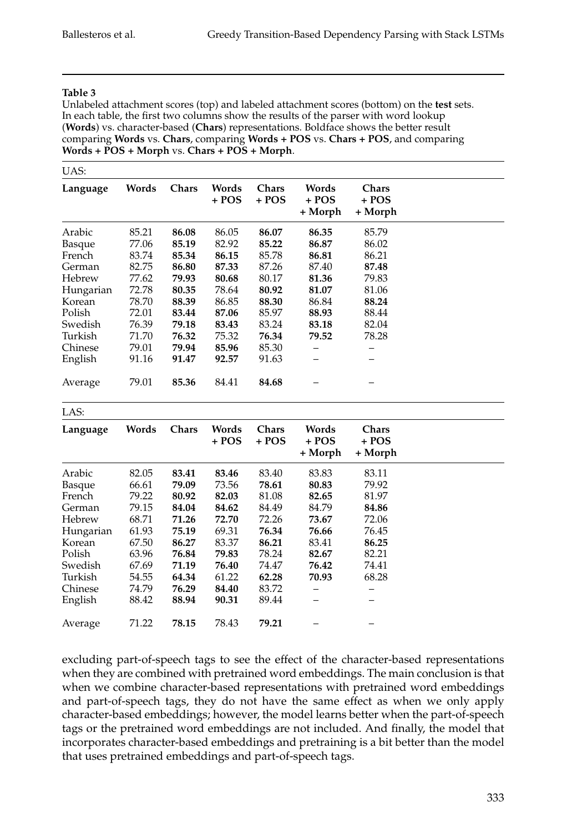Unlabeled attachment scores (top) and labeled attachment scores (bottom) on the **test** sets. In each table, the first two columns show the results of the parser with word lookup (**Words**) vs. character-based (**Chars**) representations. Boldface shows the better result comparing **Words** vs. **Chars**, comparing **Words + POS** vs. **Chars + POS**, and comparing **Words + POS + Morph** vs. **Chars + POS + Morph**.

| Chars<br>Words<br>Chars<br>$+ POS$<br>+ POS<br>+ POS<br>+ Morph<br>+ Morph |
|----------------------------------------------------------------------------|
| 85.79<br>86.07<br>86.35                                                    |
| 85.22<br>86.02<br>86.87                                                    |
| 85.78<br>86.81<br>86.21                                                    |
| 87.26<br>87.40<br>87.48                                                    |
| 80.17<br>79.83<br>81.36                                                    |
| 80.92<br>81.06<br>81.07                                                    |
| 88.30<br>86.84<br>88.24                                                    |
| 85.97<br>88.44<br>88.93                                                    |
| 83.24<br>82.04<br>83.18                                                    |
| 78.28<br>76.34<br>79.52                                                    |
| 85.30                                                                      |
| 91.63                                                                      |
| 84.68                                                                      |
|                                                                            |

LAS:

| Language  | Words | Chars | Words<br>$+ POS$ | Chars<br>+ POS | Words<br>$+ POS$<br>+ Morph | Chars<br>+ POS<br>+ Morph |  |
|-----------|-------|-------|------------------|----------------|-----------------------------|---------------------------|--|
| Arabic    | 82.05 | 83.41 | 83.46            | 83.40          | 83.83                       | 83.11                     |  |
| Basque    | 66.61 | 79.09 | 73.56            | 78.61          | 80.83                       | 79.92                     |  |
| French    | 79.22 | 80.92 | 82.03            | 81.08          | 82.65                       | 81.97                     |  |
| German    | 79.15 | 84.04 | 84.62            | 84.49          | 84.79                       | 84.86                     |  |
| Hebrew    | 68.71 | 71.26 | 72.70            | 72.26          | 73.67                       | 72.06                     |  |
| Hungarian | 61.93 | 75.19 | 69.31            | 76.34          | 76.66                       | 76.45                     |  |
| Korean    | 67.50 | 86.27 | 83.37            | 86.21          | 83.41                       | 86.25                     |  |
| Polish    | 63.96 | 76.84 | 79.83            | 78.24          | 82.67                       | 82.21                     |  |
| Swedish   | 67.69 | 71.19 | 76.40            | 74.47          | 76.42                       | 74.41                     |  |
| Turkish   | 54.55 | 64.34 | 61.22            | 62.28          | 70.93                       | 68.28                     |  |
| Chinese   | 74.79 | 76.29 | 84.40            | 83.72          |                             |                           |  |
| English   | 88.42 | 88.94 | 90.31            | 89.44          |                             |                           |  |
| Average   | 71.22 | 78.15 | 78.43            | 79.21          |                             |                           |  |

excluding part-of-speech tags to see the effect of the character-based representations when they are combined with pretrained word embeddings. The main conclusion is that when we combine character-based representations with pretrained word embeddings and part-of-speech tags, they do not have the same effect as when we only apply character-based embeddings; however, the model learns better when the part-of-speech tags or the pretrained word embeddings are not included. And finally, the model that incorporates character-based embeddings and pretraining is a bit better than the model that uses pretrained embeddings and part-of-speech tags.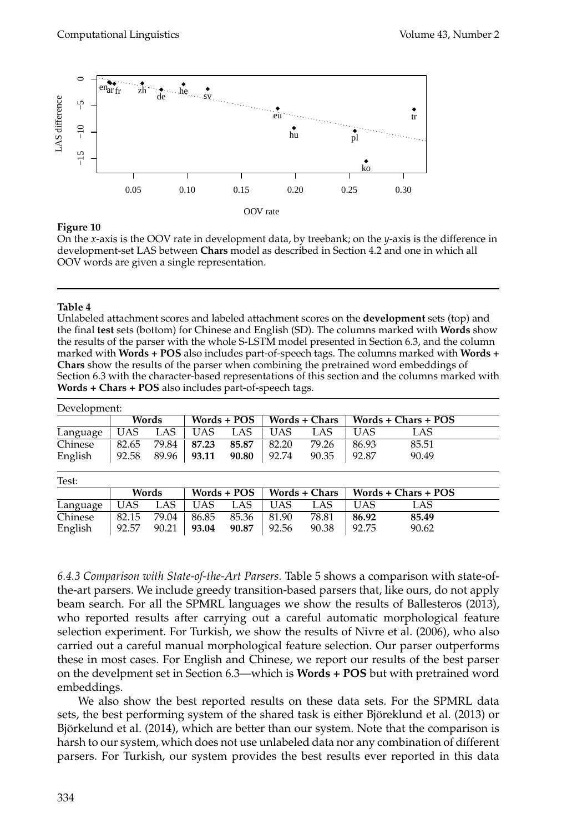

On the *x*-axis is the OOV rate in development data, by treebank; on the *y*-axis is the difference in development-set LAS between **Chars** model as described in Section 4.2 and one in which all OOV words are given a single representation.

### **Table 4**

 $Toet:$ 

Unlabeled attachment scores and labeled attachment scores on the **development** sets (top) and the final **test** sets (bottom) for Chinese and English (SD). The columns marked with **Words** show the results of the parser with the whole S-LSTM model presented in Section 6.3, and the column marked with **Words + POS** also includes part-of-speech tags. The columns marked with **Words + Chars** show the results of the parser when combining the pretrained word embeddings of Section 6.3 with the character-based representations of this section and the columns marked with **Words + Chars + POS** also includes part-of-speech tags.

| Development: |       |                                |               |                 |       |       |       |                                                       |  |
|--------------|-------|--------------------------------|---------------|-----------------|-------|-------|-------|-------------------------------------------------------|--|
|              |       | Words                          |               |                 |       |       |       | Words + $POS$   Words + Chars   Words + Chars + $POS$ |  |
| Language     | UAS   | LAS                            | UAS.          | LAS.            | UAS   | LAS   | UAS   | LAS.                                                  |  |
| Chinese      | 82.65 |                                | 79.84   87.23 | 85.87           | 82.20 | 79.26 | 86.93 | 85.51                                                 |  |
| English      |       | $92.58$ $89.96$   <b>93.11</b> |               | $90.80$   92.74 |       | 90.35 | 92.87 | 90.49                                                 |  |

| 1551.                                       |              |  |  |                                          |                                                       |                  |       |  |
|---------------------------------------------|--------------|--|--|------------------------------------------|-------------------------------------------------------|------------------|-------|--|
|                                             | <b>Words</b> |  |  |                                          | Words + $POS$   Words + Chars   Words + Chars + $POS$ |                  |       |  |
| Language   UAS LAS   UAS LAS   UAS LAS      |              |  |  |                                          |                                                       | UAS <sup>.</sup> | LAS   |  |
| Chinese                                     |              |  |  | $\mid$ 82.15 79.04   86.85 85.36   81.90 | 78.81                                                 | 86.92            | 85.49 |  |
| English   92.57 90.21   93.04 90.87   92.56 |              |  |  |                                          | 90.38 92.75                                           |                  | 90.62 |  |

*6.4.3 Comparison with State-of-the-Art Parsers.* Table 5 shows a comparison with state-ofthe-art parsers. We include greedy transition-based parsers that, like ours, do not apply beam search. For all the SPMRL languages we show the results of Ballesteros (2013), who reported results after carrying out a careful automatic morphological feature selection experiment. For Turkish, we show the results of Nivre et al. (2006), who also carried out a careful manual morphological feature selection. Our parser outperforms these in most cases. For English and Chinese, we report our results of the best parser on the develpment set in Section 6.3—which is **Words + POS** but with pretrained word embeddings.

We also show the best reported results on these data sets. For the SPMRL data sets, the best performing system of the shared task is either Björeklund et al. (2013) or Björkelund et al. (2014), which are better than our system. Note that the comparison is harsh to our system, which does not use unlabeled data nor any combination of different parsers. For Turkish, our system provides the best results ever reported in this data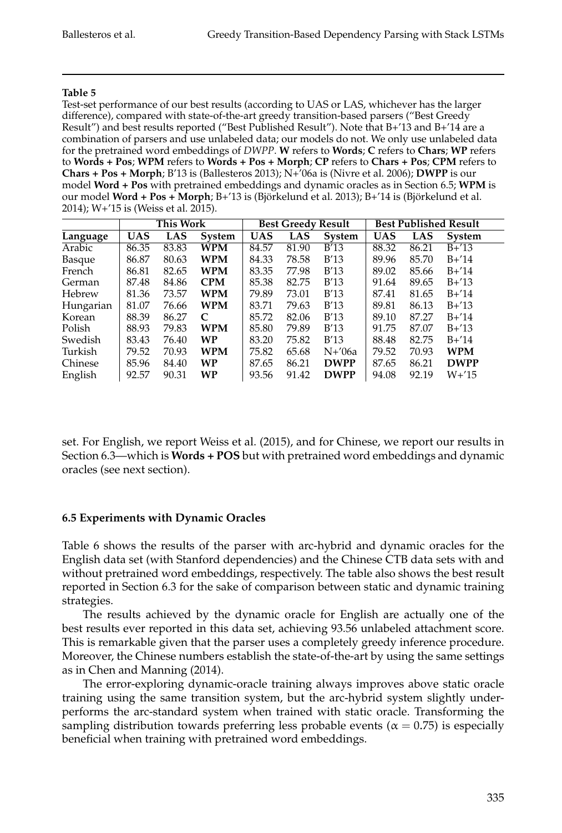Test-set performance of our best results (according to UAS or LAS, whichever has the larger difference), compared with state-of-the-art greedy transition-based parsers ("Best Greedy Result") and best results reported ("Best Published Result"). Note that B+'13 and B+'14 are a combination of parsers and use unlabeled data; our models do not. We only use unlabeled data for the pretrained word embeddings of *DWPP*. **W** refers to **Words**; **C** refers to **Chars**; **WP** refers to **Words + Pos**; **WPM** refers to **Words + Pos + Morph**; **CP** refers to **Chars + Pos**; **CPM** refers to **Chars + Pos + Morph**; B'13 is (Ballesteros 2013); N+'06a is (Nivre et al. 2006); **DWPP** is our model **Word + Pos** with pretrained embeddings and dynamic oracles as in Section 6.5; **WPM** is our model **Word + Pos + Morph**; B+'13 is (Björkelund et al. 2013); B+'14 is (Björkelund et al. 2014); W+'15 is (Weiss et al. 2015).

|           |            | <b>This Work</b> |            |            | <b>Best Greedy Result</b> |             |            |            | <b>Best Published Result</b> |
|-----------|------------|------------------|------------|------------|---------------------------|-------------|------------|------------|------------------------------|
| Language  | <b>UAS</b> | LAS              | System     | <b>UAS</b> | LAS                       | System      | <b>UAS</b> | <b>LAS</b> | <b>System</b>                |
| Arabic    | 86.35      | 83.83            | WPM        | 84.57      | 81.90                     | B'13        | 88.32      | 86.21      | $B+13$                       |
| Basque    | 86.87      | 80.63            | <b>WPM</b> | 84.33      | 78.58                     | B'13        | 89.96      | 85.70      | $B+'14$                      |
| French    | 86.81      | 82.65            | <b>WPM</b> | 83.35      | 77.98                     | B'13        | 89.02      | 85.66      | $B+'14$                      |
| German    | 87.48      | 84.86            | <b>CPM</b> | 85.38      | 82.75                     | B'13        | 91.64      | 89.65      | $B+'13$                      |
| Hebrew    | 81.36      | 73.57            | <b>WPM</b> | 79.89      | 73.01                     | B'13        | 87.41      | 81.65      | $B+'14$                      |
| Hungarian | 81.07      | 76.66            | <b>WPM</b> | 83.71      | 79.63                     | B'13        | 89.81      | 86.13      | $B+'13$                      |
| Korean    | 88.39      | 86.27            | C          | 85.72      | 82.06                     | B'13        | 89.10      | 87.27      | $B+'14$                      |
| Polish    | 88.93      | 79.83            | <b>WPM</b> | 85.80      | 79.89                     | B'13        | 91.75      | 87.07      | $B+'13$                      |
| Swedish   | 83.43      | 76.40            | WP         | 83.20      | 75.82                     | B'13        | 88.48      | 82.75      | $B+'14$                      |
| Turkish   | 79.52      | 70.93            | <b>WPM</b> | 75.82      | 65.68                     | $N+′06a$    | 79.52      | 70.93      | <b>WPM</b>                   |
| Chinese   | 85.96      | 84.40            | <b>WP</b>  | 87.65      | 86.21                     | <b>DWPP</b> | 87.65      | 86.21      | <b>DWPP</b>                  |
| English   | 92.57      | 90.31            | WP         | 93.56      | 91.42                     | <b>DWPP</b> | 94.08      | 92.19      | $W+15$                       |

set. For English, we report Weiss et al. (2015), and for Chinese, we report our results in Section 6.3—which is **Words + POS** but with pretrained word embeddings and dynamic oracles (see next section).

### **6.5 Experiments with Dynamic Oracles**

Table 6 shows the results of the parser with arc-hybrid and dynamic oracles for the English data set (with Stanford dependencies) and the Chinese CTB data sets with and without pretrained word embeddings, respectively. The table also shows the best result reported in Section 6.3 for the sake of comparison between static and dynamic training strategies.

The results achieved by the dynamic oracle for English are actually one of the best results ever reported in this data set, achieving 93.56 unlabeled attachment score. This is remarkable given that the parser uses a completely greedy inference procedure. Moreover, the Chinese numbers establish the state-of-the-art by using the same settings as in Chen and Manning (2014).

The error-exploring dynamic-oracle training always improves above static oracle training using the same transition system, but the arc-hybrid system slightly underperforms the arc-standard system when trained with static oracle. Transforming the sampling distribution towards preferring less probable events ( $\alpha = 0.75$ ) is especially beneficial when training with pretrained word embeddings.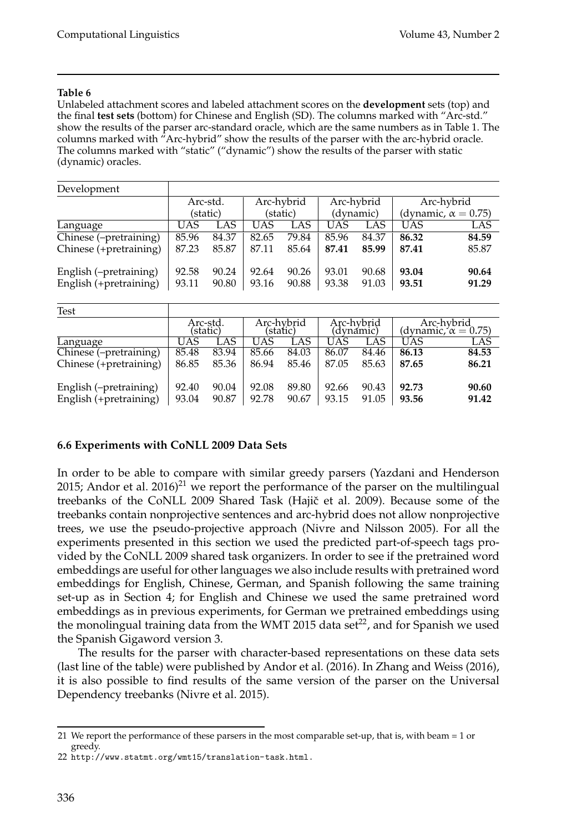Unlabeled attachment scores and labeled attachment scores on the **development** sets (top) and the final **test sets** (bottom) for Chinese and English (SD). The columns marked with "Arc-std." show the results of the parser arc-standard oracle, which are the same numbers as in Table 1. The columns marked with "Arc-hybrid" show the results of the parser with the arc-hybrid oracle. The columns marked with "static" ("dynamic") show the results of the parser with static (dynamic) oracles.

| Development            |       |          |       |            |           |            |            |                             |
|------------------------|-------|----------|-------|------------|-----------|------------|------------|-----------------------------|
|                        |       | Arc-std. |       | Arc-hybrid |           | Arc-hybrid | Arc-hybrid |                             |
|                        |       | (static) |       | (static)   | (dynamic) |            |            | (dynamic, $\alpha = 0.75$ ) |
| Language               | UAS   | LAS      | UAS   | LAS        | UAS       | LAS        | <b>UAS</b> | LAS                         |
| Chinese (-pretraining) | 85.96 | 84.37    | 82.65 | 79.84      | 85.96     | 84.37      | 86.32      | 84.59                       |
| Chinese (+pretraining) | 87.23 | 85.87    | 87.11 | 85.64      | 87.41     | 85.99      | 87.41      | 85.87                       |
| English (-pretraining) | 92.58 | 90.24    | 92.64 | 90.26      | 93.01     | 90.68      | 93.04      | 90.64                       |
| English (+pretraining) | 93.11 | 90.80    | 93.16 | 90.88      | 93.38     | 91.03      | 93.51      | 91.29                       |

| <b>Test</b>            |                      |       |                        |       |                         |       |                                           |       |
|------------------------|----------------------|-------|------------------------|-------|-------------------------|-------|-------------------------------------------|-------|
|                        | Arc-std.<br>(static) |       | Arc-hybrid<br>(static) |       | Arc-hybrid<br>(dynámic) |       | Arc-hybrid<br>(dynamic, $\alpha = 0.75$ ) |       |
| Language               | UAS                  | LAS   | UAS                    | LAS   | UAS                     | LAS   | UAS                                       | LAS   |
| Chinese (-pretraining) | 85.48                | 83.94 | 85.66                  | 84.03 | 86.07                   | 84.46 | 86.13                                     | 84.53 |
| Chinese (+pretraining) | 86.85                | 85.36 | 86.94                  | 85.46 | 87.05                   | 85.63 | 87.65                                     | 86.21 |
| English (-pretraining) | 92.40                | 90.04 | 92.08                  | 89.80 | 92.66                   | 90.43 | 92.73                                     | 90.60 |
| English (+pretraining) | 93.04                | 90.87 | 92.78                  | 90.67 | 93.15                   | 91.05 | 93.56                                     | 91.42 |

# **6.6 Experiments with CoNLL 2009 Data Sets**

In order to be able to compare with similar greedy parsers (Yazdani and Henderson 2015; Andor et al. 2016)<sup>21</sup> we report the performance of the parser on the multilingual treebanks of the CoNLL 2009 Shared Task (Hajič et al. 2009). Because some of the treebanks contain nonprojective sentences and arc-hybrid does not allow nonprojective trees, we use the pseudo-projective approach (Nivre and Nilsson 2005). For all the experiments presented in this section we used the predicted part-of-speech tags provided by the CoNLL 2009 shared task organizers. In order to see if the pretrained word embeddings are useful for other languages we also include results with pretrained word embeddings for English, Chinese, German, and Spanish following the same training set-up as in Section 4; for English and Chinese we used the same pretrained word embeddings as in previous experiments, for German we pretrained embeddings using the monolingual training data from the WMT 2015 data set<sup>22</sup>, and for Spanish we used the Spanish Gigaword version 3.

The results for the parser with character-based representations on these data sets (last line of the table) were published by Andor et al. (2016). In Zhang and Weiss (2016), it is also possible to find results of the same version of the parser on the Universal Dependency treebanks (Nivre et al. 2015).

<sup>21</sup> We report the performance of these parsers in the most comparable set-up, that is, with beam = 1 or greedy.

<sup>22</sup> http://www.statmt.org/wmt15/translation-task.html.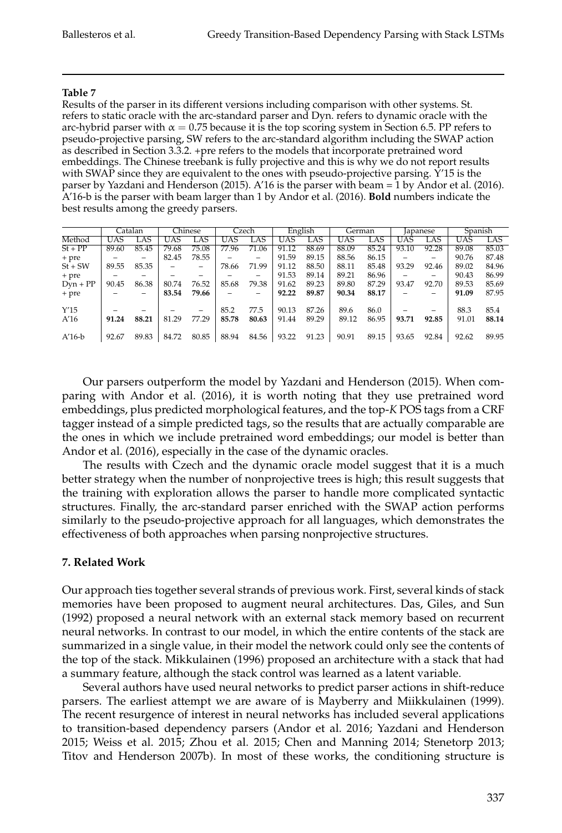Results of the parser in its different versions including comparison with other systems. St. refers to static oracle with the arc-standard parser and Dyn. refers to dynamic oracle with the arc-hybrid parser with  $\alpha = 0.75$  because it is the top scoring system in Section 6.5. PP refers to pseudo-projective parsing, SW refers to the arc-standard algorithm including the SWAP action as described in Section 3.3.2. +pre refers to the models that incorporate pretrained word embeddings. The Chinese treebank is fully projective and this is why we do not report results with SWAP since they are equivalent to the ones with pseudo-projective parsing.  $\hat{Y}$  15 is the parser by Yazdani and Henderson (2015). A'16 is the parser with beam = 1 by Andor et al. (2016). A'16-b is the parser with beam larger than 1 by Andor et al. (2016). **Bold** numbers indicate the best results among the greedy parsers.

|              | Catalan |       | Chinese    |       | Czech         |               | English        |                | German        |               | lapanese |                          | Spanish       |               |
|--------------|---------|-------|------------|-------|---------------|---------------|----------------|----------------|---------------|---------------|----------|--------------------------|---------------|---------------|
| Method       | UAS     | LAS   | <b>UAS</b> | LAS   | UAS           | LAS           | UAS            | LAS            | UAS           | LAS           | UAS      | LAS                      | UAS           | LAS           |
| $St + PP$    | 89.60   | 85.45 | 79.68      | 75.08 | 77.96         | 71.06         | 91.12          | 88.69          | 88.09         | 85.24         | 93.10    | 92.28                    | 89.08         | 85.03         |
| + pre        |         |       | 82.45      | 78.55 |               | -             | 91.59          | 89.15          | 88.56         | 86.15         |          | -                        | 90.76         | 87.48         |
| $St + SW$    | 89.55   | 85.35 |            | -     | 78.66         | 71.99         | 91.12          | 88.50          | 88.11         | 85.48         | 93.29    | 92.46                    | 89.02         | 84.96         |
| + pre        |         |       |            |       |               |               | 91.53          | 89.14          | 89.21         | 86.96         |          | $\overline{\phantom{0}}$ | 90.43         | 86.99         |
| $Dyn + PP$   | 90.45   | 86.38 | 80.74      | 76.52 | 85.68         | 79.38         | 91.62          | 89.23          | 89.80         | 87.29         | 93.47    | 92.70                    | 89.53         | 85.69         |
| + pre        |         |       | 83.54      | 79.66 |               |               | 92.22          | 89.87          | 90.34         | 88.17         |          |                          | 91.09         | 87.95         |
| Y'15<br>A'16 | 91.24   | 88.21 | 81.29      | 77.29 | 85.2<br>85.78 | 77.5<br>80.63 | 90.13<br>91.44 | 87.26<br>89.29 | 89.6<br>89.12 | 86.0<br>86.95 | 93.71    | 92.85                    | 88.3<br>91.01 | 85.4<br>88.14 |
| $A'16-b$     | 92.67   | 89.83 | 84.72      | 80.85 | 88.94         | 84.56         | 93.22          | 91.23          | 90.91         | 89.15         | 93.65    | 92.84                    | 92.62         | 89.95         |

Our parsers outperform the model by Yazdani and Henderson (2015). When comparing with Andor et al. (2016), it is worth noting that they use pretrained word embeddings, plus predicted morphological features, and the top-*K* POS tags from a CRF tagger instead of a simple predicted tags, so the results that are actually comparable are the ones in which we include pretrained word embeddings; our model is better than Andor et al. (2016), especially in the case of the dynamic oracles.

The results with Czech and the dynamic oracle model suggest that it is a much better strategy when the number of nonprojective trees is high; this result suggests that the training with exploration allows the parser to handle more complicated syntactic structures. Finally, the arc-standard parser enriched with the SWAP action performs similarly to the pseudo-projective approach for all languages, which demonstrates the effectiveness of both approaches when parsing nonprojective structures.

# **7. Related Work**

Our approach ties together several strands of previous work. First, several kinds of stack memories have been proposed to augment neural architectures. Das, Giles, and Sun (1992) proposed a neural network with an external stack memory based on recurrent neural networks. In contrast to our model, in which the entire contents of the stack are summarized in a single value, in their model the network could only see the contents of the top of the stack. Mikkulainen (1996) proposed an architecture with a stack that had a summary feature, although the stack control was learned as a latent variable.

Several authors have used neural networks to predict parser actions in shift-reduce parsers. The earliest attempt we are aware of is Mayberry and Miikkulainen (1999). The recent resurgence of interest in neural networks has included several applications to transition-based dependency parsers (Andor et al. 2016; Yazdani and Henderson 2015; Weiss et al. 2015; Zhou et al. 2015; Chen and Manning 2014; Stenetorp 2013; Titov and Henderson 2007b). In most of these works, the conditioning structure is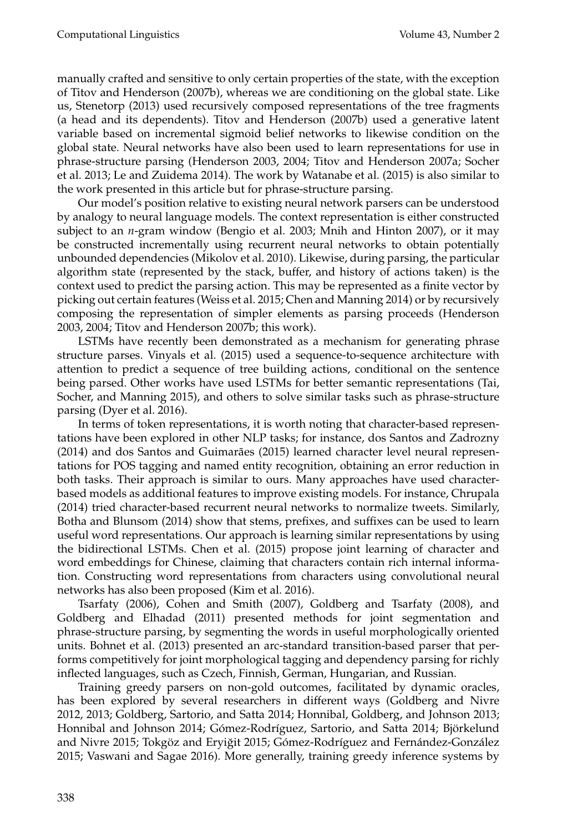manually crafted and sensitive to only certain properties of the state, with the exception of Titov and Henderson (2007b), whereas we are conditioning on the global state. Like us, Stenetorp (2013) used recursively composed representations of the tree fragments (a head and its dependents). Titov and Henderson (2007b) used a generative latent variable based on incremental sigmoid belief networks to likewise condition on the global state. Neural networks have also been used to learn representations for use in phrase-structure parsing (Henderson 2003, 2004; Titov and Henderson 2007a; Socher et al. 2013; Le and Zuidema 2014). The work by Watanabe et al. (2015) is also similar to the work presented in this article but for phrase-structure parsing.

Our model's position relative to existing neural network parsers can be understood by analogy to neural language models. The context representation is either constructed subject to an *n*-gram window (Bengio et al. 2003; Mnih and Hinton 2007), or it may be constructed incrementally using recurrent neural networks to obtain potentially unbounded dependencies (Mikolov et al. 2010). Likewise, during parsing, the particular algorithm state (represented by the stack, buffer, and history of actions taken) is the context used to predict the parsing action. This may be represented as a finite vector by picking out certain features (Weiss et al. 2015; Chen and Manning 2014) or by recursively composing the representation of simpler elements as parsing proceeds (Henderson 2003, 2004; Titov and Henderson 2007b; this work).

LSTMs have recently been demonstrated as a mechanism for generating phrase structure parses. Vinyals et al. (2015) used a sequence-to-sequence architecture with attention to predict a sequence of tree building actions, conditional on the sentence being parsed. Other works have used LSTMs for better semantic representations (Tai, Socher, and Manning 2015), and others to solve similar tasks such as phrase-structure parsing (Dyer et al. 2016).

In terms of token representations, it is worth noting that character-based representations have been explored in other NLP tasks; for instance, dos Santos and Zadrozny (2014) and dos Santos and Guimarães (2015) learned character level neural representations for POS tagging and named entity recognition, obtaining an error reduction in both tasks. Their approach is similar to ours. Many approaches have used characterbased models as additional features to improve existing models. For instance, Chrupala (2014) tried character-based recurrent neural networks to normalize tweets. Similarly, Botha and Blunsom (2014) show that stems, prefixes, and suffixes can be used to learn useful word representations. Our approach is learning similar representations by using the bidirectional LSTMs. Chen et al. (2015) propose joint learning of character and word embeddings for Chinese, claiming that characters contain rich internal information. Constructing word representations from characters using convolutional neural networks has also been proposed (Kim et al. 2016).

Tsarfaty (2006), Cohen and Smith (2007), Goldberg and Tsarfaty (2008), and Goldberg and Elhadad (2011) presented methods for joint segmentation and phrase-structure parsing, by segmenting the words in useful morphologically oriented units. Bohnet et al. (2013) presented an arc-standard transition-based parser that performs competitively for joint morphological tagging and dependency parsing for richly inflected languages, such as Czech, Finnish, German, Hungarian, and Russian.

Training greedy parsers on non-gold outcomes, facilitated by dynamic oracles, has been explored by several researchers in different ways (Goldberg and Nivre 2012, 2013; Goldberg, Sartorio, and Satta 2014; Honnibal, Goldberg, and Johnson 2013; Honnibal and Johnson 2014; Gómez-Rodríguez, Sartorio, and Satta 2014; Björkelund and Nivre 2015; Tokgöz and Eryiğit 2015; Gómez-Rodríguez and Fernández-González 2015; Vaswani and Sagae 2016). More generally, training greedy inference systems by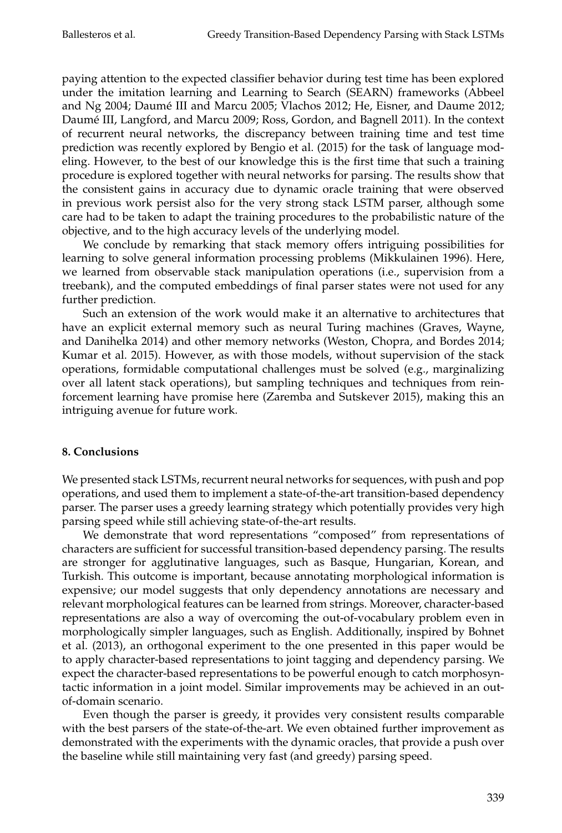paying attention to the expected classifier behavior during test time has been explored under the imitation learning and Learning to Search (SEARN) frameworks (Abbeel and Ng 2004; Daume III and Marcu 2005; Vlachos 2012; He, Eisner, and Daume 2012; ´ Daume III, Langford, and Marcu 2009; Ross, Gordon, and Bagnell 2011). In the context ´ of recurrent neural networks, the discrepancy between training time and test time prediction was recently explored by Bengio et al. (2015) for the task of language modeling. However, to the best of our knowledge this is the first time that such a training procedure is explored together with neural networks for parsing. The results show that the consistent gains in accuracy due to dynamic oracle training that were observed in previous work persist also for the very strong stack LSTM parser, although some care had to be taken to adapt the training procedures to the probabilistic nature of the objective, and to the high accuracy levels of the underlying model.

We conclude by remarking that stack memory offers intriguing possibilities for learning to solve general information processing problems (Mikkulainen 1996). Here, we learned from observable stack manipulation operations (i.e., supervision from a treebank), and the computed embeddings of final parser states were not used for any further prediction.

Such an extension of the work would make it an alternative to architectures that have an explicit external memory such as neural Turing machines (Graves, Wayne, and Danihelka 2014) and other memory networks (Weston, Chopra, and Bordes 2014; Kumar et al. 2015). However, as with those models, without supervision of the stack operations, formidable computational challenges must be solved (e.g., marginalizing over all latent stack operations), but sampling techniques and techniques from reinforcement learning have promise here (Zaremba and Sutskever 2015), making this an intriguing avenue for future work.

# **8. Conclusions**

We presented stack LSTMs, recurrent neural networks for sequences, with push and pop operations, and used them to implement a state-of-the-art transition-based dependency parser. The parser uses a greedy learning strategy which potentially provides very high parsing speed while still achieving state-of-the-art results.

We demonstrate that word representations "composed" from representations of characters are sufficient for successful transition-based dependency parsing. The results are stronger for agglutinative languages, such as Basque, Hungarian, Korean, and Turkish. This outcome is important, because annotating morphological information is expensive; our model suggests that only dependency annotations are necessary and relevant morphological features can be learned from strings. Moreover, character-based representations are also a way of overcoming the out-of-vocabulary problem even in morphologically simpler languages, such as English. Additionally, inspired by Bohnet et al. (2013), an orthogonal experiment to the one presented in this paper would be to apply character-based representations to joint tagging and dependency parsing. We expect the character-based representations to be powerful enough to catch morphosyntactic information in a joint model. Similar improvements may be achieved in an outof-domain scenario.

Even though the parser is greedy, it provides very consistent results comparable with the best parsers of the state-of-the-art. We even obtained further improvement as demonstrated with the experiments with the dynamic oracles, that provide a push over the baseline while still maintaining very fast (and greedy) parsing speed.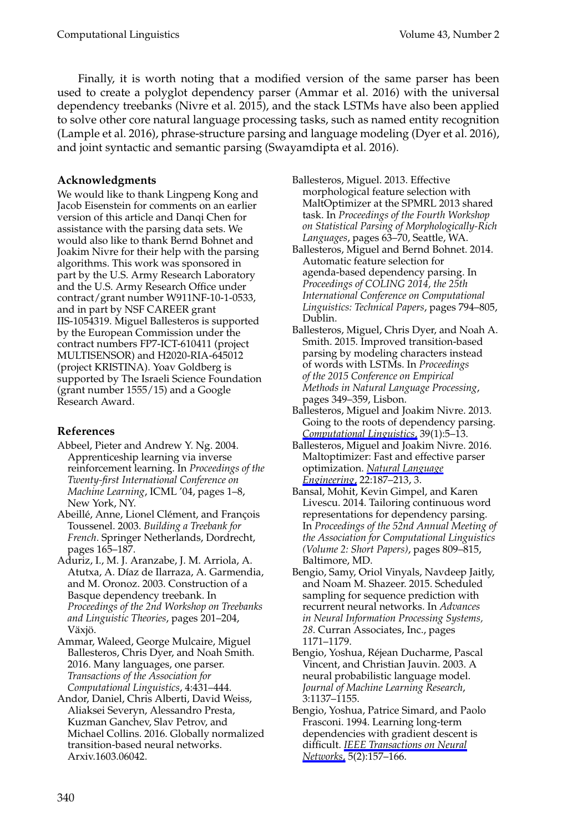Finally, it is worth noting that a modified version of the same parser has been used to create a polyglot dependency parser (Ammar et al. 2016) with the universal dependency treebanks (Nivre et al. 2015), and the stack LSTMs have also been applied to solve other core natural language processing tasks, such as named entity recognition (Lample et al. 2016), phrase-structure parsing and language modeling (Dyer et al. 2016), and joint syntactic and semantic parsing (Swayamdipta et al. 2016).

# **Acknowledgments**

We would like to thank Lingpeng Kong and Jacob Eisenstein for comments on an earlier version of this article and Danqi Chen for assistance with the parsing data sets. We would also like to thank Bernd Bohnet and Joakim Nivre for their help with the parsing algorithms. This work was sponsored in part by the U.S. Army Research Laboratory and the U.S. Army Research Office under contract/grant number W911NF-10-1-0533, and in part by NSF CAREER grant IIS-1054319. Miguel Ballesteros is supported by the European Commission under the contract numbers FP7-ICT-610411 (project MULTISENSOR) and H2020-RIA-645012 (project KRISTINA). Yoav Goldberg is supported by The Israeli Science Foundation (grant number 1555/15) and a Google Research Award.

# **References**

- Abbeel, Pieter and Andrew Y. Ng. 2004. Apprenticeship learning via inverse reinforcement learning. In *Proceedings of the Twenty-first International Conference on Machine Learning*, ICML '04, pages 1–8, New York, NY.
- Abeillé, Anne, Lionel Clément, and François Toussenel. 2003. *Building a Treebank for French*. Springer Netherlands, Dordrecht, pages 165–187.
- Aduriz, I., M. J. Aranzabe, J. M. Arriola, A. Atutxa, A. Díaz de Ilarraza, A. Garmendia, and M. Oronoz. 2003. Construction of a Basque dependency treebank. In *Proceedings of the 2nd Workshop on Treebanks and Linguistic Theories*, pages 201–204, Växjö.
- Ammar, Waleed, George Mulcaire, Miguel Ballesteros, Chris Dyer, and Noah Smith. 2016. Many languages, one parser. *Transactions of the Association for Computational Linguistics*, 4:431–444.
- Andor, Daniel, Chris Alberti, David Weiss, Aliaksei Severyn, Alessandro Presta, Kuzman Ganchev, Slav Petrov, and Michael Collins. 2016. Globally normalized transition-based neural networks. Arxiv.1603.06042.
- Ballesteros, Miguel. 2013. Effective morphological feature selection with MaltOptimizer at the SPMRL 2013 shared task. In *Proceedings of the Fourth Workshop on Statistical Parsing of Morphologically-Rich Languages*, pages 63–70, Seattle, WA.
- Ballesteros, Miguel and Bernd Bohnet. 2014. Automatic feature selection for agenda-based dependency parsing. In *Proceedings of COLING 2014, the 25th International Conference on Computational Linguistics: Technical Papers*, pages 794–805, Dublin.
- Ballesteros, Miguel, Chris Dyer, and Noah A. Smith. 2015. Improved transition-based parsing by modeling characters instead of words with LSTMs. In *Proceedings of the 2015 Conference on Empirical Methods in Natural Language Processing*, pages 349–359, Lisbon.
- Ballesteros, Miguel and Joakim Nivre. 2013. Going to the roots of dependency parsing. *[Computational Linguistics](http://www.mitpressjournals.org/action/showLinks?doi=10.1162%2FCOLI_a_00285&system=10.1162%2FCOLI_a_00132&citationId=p_9)*, 39(1):5–13.
- Ballesteros, Miguel and Joakim Nivre. 2016. Maltoptimizer: Fast and effective parser optimization. *[Natural Language](http://www.mitpressjournals.org/action/showLinks?doi=10.1162%2FCOLI_a_00285&crossref=10.1017%2FS1351324914000035&citationId=p_10) [Engineering](http://www.mitpressjournals.org/action/showLinks?doi=10.1162%2FCOLI_a_00285&crossref=10.1017%2FS1351324914000035&citationId=p_10)*, 22:187–213, 3.
- Bansal, Mohit, Kevin Gimpel, and Karen Livescu. 2014. Tailoring continuous word representations for dependency parsing. In *Proceedings of the 52nd Annual Meeting of the Association for Computational Linguistics (Volume 2: Short Papers)*, pages 809–815, Baltimore, MD.
- Bengio, Samy, Oriol Vinyals, Navdeep Jaitly, and Noam M. Shazeer. 2015. Scheduled sampling for sequence prediction with recurrent neural networks. In *Advances in Neural Information Processing Systems, 28*. Curran Associates, Inc., pages 1171–1179.
- Bengio, Yoshua, Rejean Ducharme, Pascal ´ Vincent, and Christian Jauvin. 2003. A neural probabilistic language model. *Journal of Machine Learning Research*, 3:1137–1155.
- Bengio, Yoshua, Patrice Simard, and Paolo Frasconi. 1994. Learning long-term dependencies with gradient descent is difficult. *[IEEE Transactions on Neural](http://www.mitpressjournals.org/action/showLinks?doi=10.1162%2FCOLI_a_00285&crossref=10.1109%2F72.279181&citationId=p_14) [Networks](http://www.mitpressjournals.org/action/showLinks?doi=10.1162%2FCOLI_a_00285&crossref=10.1109%2F72.279181&citationId=p_14)*, 5(2):157–166.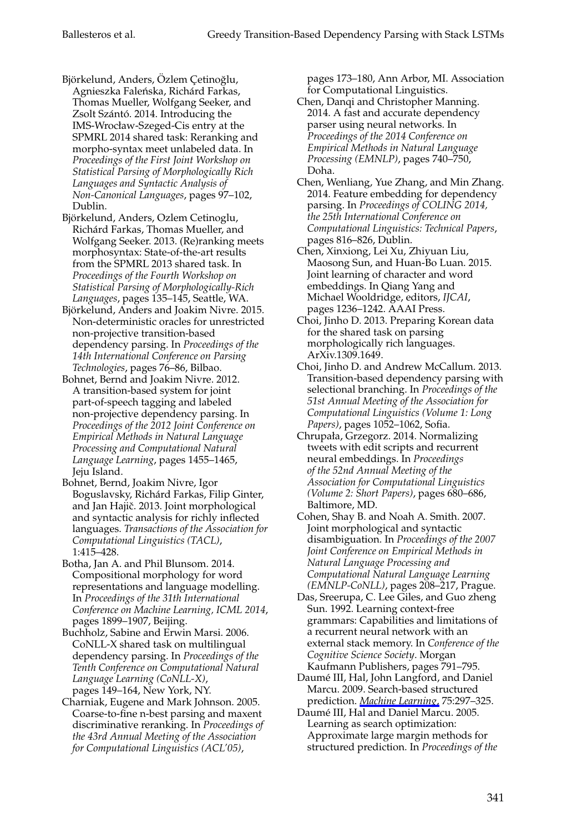- Björkelund, Anders, Ozlem Çetinoğlu, Agnieszka Faleńska, Richárd Farkas, Thomas Mueller, Wolfgang Seeker, and Zsolt Szántó. 2014. Introducing the IMS-Wrocław-Szeged-Cis entry at the SPMRL 2014 shared task: Reranking and morpho-syntax meet unlabeled data. In *Proceedings of the First Joint Workshop on Statistical Parsing of Morphologically Rich Languages and Syntactic Analysis of Non-Canonical Languages*, pages 97–102, Dublin.
- Bjorkelund, Anders, Ozlem Cetinoglu, ¨ Richard Farkas, Thomas Mueller, and ´ Wolfgang Seeker. 2013. (Re)ranking meets morphosyntax: State-of-the-art results from the SPMRL 2013 shared task. In *Proceedings of the Fourth Workshop on Statistical Parsing of Morphologically-Rich Languages*, pages 135–145, Seattle, WA.
- Björkelund, Anders and Joakim Nivre. 2015. Non-deterministic oracles for unrestricted non-projective transition-based dependency parsing. In *Proceedings of the 14th International Conference on Parsing Technologies*, pages 76–86, Bilbao.
- Bohnet, Bernd and Joakim Nivre. 2012. A transition-based system for joint part-of-speech tagging and labeled non-projective dependency parsing. In *Proceedings of the 2012 Joint Conference on Empirical Methods in Natural Language Processing and Computational Natural Language Learning*, pages 1455–1465, Jeju Island.
- Bohnet, Bernd, Joakim Nivre, Igor Boguslavsky, Richárd Farkas, Filip Ginter, and Jan Hajič. 2013. Joint morphological and syntactic analysis for richly inflected languages. *Transactions of the Association for Computational Linguistics (TACL)*, 1:415–428.
- Botha, Jan A. and Phil Blunsom. 2014. Compositional morphology for word representations and language modelling. In *Proceedings of the 31th International Conference on Machine Learning, ICML 2014*, pages 1899–1907, Beijing.
- Buchholz, Sabine and Erwin Marsi. 2006. CoNLL-X shared task on multilingual dependency parsing. In *Proceedings of the Tenth Conference on Computational Natural Language Learning (CoNLL-X)*, pages 149–164, New York, NY.
- Charniak, Eugene and Mark Johnson. 2005. Coarse-to-fine n-best parsing and maxent discriminative reranking. In *Proceedings of the 43rd Annual Meeting of the Association for Computational Linguistics (ACL'05)*,

pages 173–180, Ann Arbor, MI. Association for Computational Linguistics.

- Chen, Danqi and Christopher Manning. 2014. A fast and accurate dependency parser using neural networks. In *Proceedings of the 2014 Conference on Empirical Methods in Natural Language Processing (EMNLP)*, pages 740–750, Doha.
- Chen, Wenliang, Yue Zhang, and Min Zhang. 2014. Feature embedding for dependency parsing. In *Proceedings of COLING 2014, the 25th International Conference on Computational Linguistics: Technical Papers*, pages 816–826, Dublin.
- Chen, Xinxiong, Lei Xu, Zhiyuan Liu, Maosong Sun, and Huan-Bo Luan. 2015. Joint learning of character and word embeddings. In Qiang Yang and Michael Wooldridge, editors, *IJCAI*, pages 1236–1242. AAAI Press.
- Choi, Jinho D. 2013. Preparing Korean data for the shared task on parsing morphologically rich languages. ArXiv.1309.1649.
- Choi, Jinho D. and Andrew McCallum. 2013. Transition-based dependency parsing with selectional branching. In *Proceedings of the 51st Annual Meeting of the Association for Computational Linguistics (Volume 1: Long Papers)*, pages 1052–1062, Sofia.
- Chrupała, Grzegorz. 2014. Normalizing tweets with edit scripts and recurrent neural embeddings. In *Proceedings of the 52nd Annual Meeting of the Association for Computational Linguistics (Volume 2: Short Papers)*, pages 680–686, Baltimore, MD.
- Cohen, Shay B. and Noah A. Smith. 2007. Joint morphological and syntactic disambiguation. In *Proceedings of the 2007 Joint Conference on Empirical Methods in Natural Language Processing and Computational Natural Language Learning (EMNLP-CoNLL)*, pages 208–217, Prague.
- Das, Sreerupa, C. Lee Giles, and Guo zheng Sun. 1992. Learning context-free grammars: Capabilities and limitations of a recurrent neural network with an external stack memory. In *Conference of the Cognitive Science Society*. Morgan Kaufmann Publishers, pages 791–795.
- Daumé III, Hal, John Langford, and Daniel Marcu. 2009. Search-based structured prediction. *[Machine Learning](http://www.mitpressjournals.org/action/showLinks?doi=10.1162%2FCOLI_a_00285&crossref=10.1007%2Fs10994-009-5106-x&citationId=p_31)*, 75:297–325.
- Daume III, Hal and Daniel Marcu. 2005. ´ Learning as search optimization: Approximate large margin methods for structured prediction. In *Proceedings of the*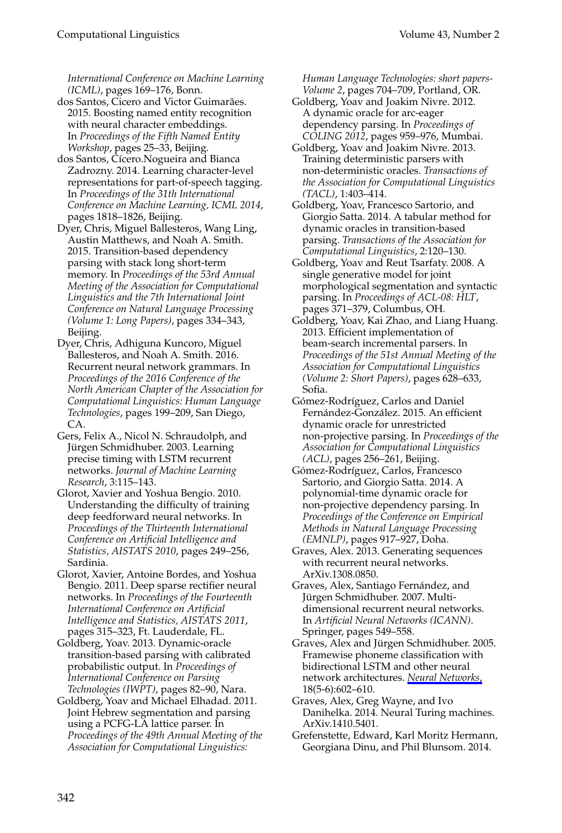*International Conference on Machine Learning (ICML)*, pages 169–176, Bonn.

- dos Santos, Cicero and Victor Guimarães. 2015. Boosting named entity recognition with neural character embeddings. In *Proceedings of the Fifth Named Entity Workshop*, pages 25–33, Beijing.
- dos Santos, Cícero.Nogueira and Bianca Zadrozny. 2014. Learning character-level representations for part-of-speech tagging. In *Proceedings of the 31th International Conference on Machine Learning, ICML 2014*, pages 1818–1826, Beijing.
- Dyer, Chris, Miguel Ballesteros, Wang Ling, Austin Matthews, and Noah A. Smith. 2015. Transition-based dependency parsing with stack long short-term memory. In *Proceedings of the 53rd Annual Meeting of the Association for Computational Linguistics and the 7th International Joint Conference on Natural Language Processing (Volume 1: Long Papers)*, pages 334–343, Beijing.
- Dyer, Chris, Adhiguna Kuncoro, Miguel Ballesteros, and Noah A. Smith. 2016. Recurrent neural network grammars. In *Proceedings of the 2016 Conference of the North American Chapter of the Association for Computational Linguistics: Human Language Technologies*, pages 199–209, San Diego, CA.
- Gers, Felix A., Nicol N. Schraudolph, and Jürgen Schmidhuber. 2003. Learning precise timing with LSTM recurrent networks. *Journal of Machine Learning Research*, 3:115–143.
- Glorot, Xavier and Yoshua Bengio. 2010. Understanding the difficulty of training deep feedforward neural networks. In *Proceedings of the Thirteenth International Conference on Artificial Intelligence and Statistics, AISTATS 2010*, pages 249–256, Sardinia.
- Glorot, Xavier, Antoine Bordes, and Yoshua Bengio. 2011. Deep sparse rectifier neural networks. In *Proceedings of the Fourteenth International Conference on Artificial Intelligence and Statistics, AISTATS 2011*, pages 315–323, Ft. Lauderdale, FL.
- Goldberg, Yoav. 2013. Dynamic-oracle transition-based parsing with calibrated probabilistic output. In *Proceedings of International Conference on Parsing Technologies (IWPT)*, pages 82–90, Nara.
- Goldberg, Yoav and Michael Elhadad. 2011. Joint Hebrew segmentation and parsing using a PCFG-LA lattice parser. In *Proceedings of the 49th Annual Meeting of the Association for Computational Linguistics:*

*Human Language Technologies: short papers-Volume 2*, pages 704–709, Portland, OR.

- Goldberg, Yoav and Joakim Nivre. 2012. A dynamic oracle for arc-eager dependency parsing. In *Proceedings of COLING 2012*, pages 959–976, Mumbai.
- Goldberg, Yoav and Joakim Nivre. 2013. Training deterministic parsers with non-deterministic oracles. *Transactions of the Association for Computational Linguistics (TACL)*, 1:403–414.
- Goldberg, Yoav, Francesco Sartorio, and Giorgio Satta. 2014. A tabular method for dynamic oracles in transition-based parsing. *Transactions of the Association for Computational Linguistics*, 2:120–130.
- Goldberg, Yoav and Reut Tsarfaty. 2008. A single generative model for joint morphological segmentation and syntactic parsing. In *Proceedings of ACL-08: HLT*, pages 371–379, Columbus, OH.
- Goldberg, Yoav, Kai Zhao, and Liang Huang. 2013. Efficient implementation of beam-search incremental parsers. In *Proceedings of the 51st Annual Meeting of the Association for Computational Linguistics (Volume 2: Short Papers)*, pages 628–633, Sofia.
- Gómez-Rodríguez, Carlos and Daniel Fernández-González. 2015. An efficient dynamic oracle for unrestricted non-projective parsing. In *Proceedings of the Association for Computational Linguistics (ACL)*, pages 256–261, Beijing.
- Gómez-Rodríguez, Carlos, Francesco Sartorio, and Giorgio Satta. 2014. A polynomial-time dynamic oracle for non-projective dependency parsing. In *Proceedings of the Conference on Empirical Methods in Natural Language Processing (EMNLP)*, pages 917–927, Doha.
- Graves, Alex. 2013. Generating sequences with recurrent neural networks. ArXiv.1308.0850.
- Graves, Alex, Santiago Fernández, and Jürgen Schmidhuber. 2007. Multidimensional recurrent neural networks. In *Artificial Neural Networks (ICANN)*. Springer, pages 549–558.
- Graves, Alex and Jürgen Schmidhuber. 2005. Framewise phoneme classification with bidirectional LSTM and other neural network architectures. *[Neural Networks](http://www.mitpressjournals.org/action/showLinks?doi=10.1162%2FCOLI_a_00285&crossref=10.1016%2Fj.neunet.2005.06.042&citationId=p_51)*, 18(5-6):602–610.
- Graves, Alex, Greg Wayne, and Ivo Danihelka. 2014. Neural Turing machines. ArXiv.1410.5401.
- Grefenstette, Edward, Karl Moritz Hermann, Georgiana Dinu, and Phil Blunsom. 2014.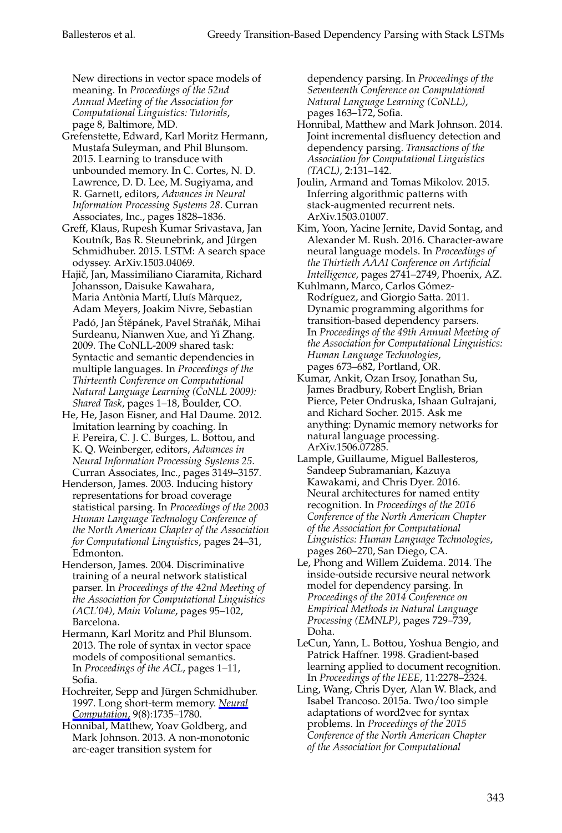New directions in vector space models of meaning. In *Proceedings of the 52nd Annual Meeting of the Association for Computational Linguistics: Tutorials*, page 8, Baltimore, MD.

- Grefenstette, Edward, Karl Moritz Hermann, Mustafa Suleyman, and Phil Blunsom. 2015. Learning to transduce with unbounded memory. In C. Cortes, N. D. Lawrence, D. D. Lee, M. Sugiyama, and R. Garnett, editors, *Advances in Neural Information Processing Systems 28*. Curran Associates, Inc., pages 1828–1836.
- Greff, Klaus, Rupesh Kumar Srivastava, Jan Koutník, Bas R. Steunebrink, and Jürgen Schmidhuber. 2015. LSTM: A search space odyssey. ArXiv.1503.04069.
- Hajič, Jan, Massimiliano Ciaramita, Richard Johansson, Daisuke Kawahara, Maria Antònia Martí, Lluís Màrquez, Adam Meyers, Joakim Nivre, Sebastian Padó, Jan Štěpánek, Pavel Straňák, Mihai Surdeanu, Nianwen Xue, and Yi Zhang. 2009. The CoNLL-2009 shared task: Syntactic and semantic dependencies in multiple languages. In *Proceedings of the Thirteenth Conference on Computational Natural Language Learning (CoNLL 2009): Shared Task*, pages 1–18, Boulder, CO.
- He, He, Jason Eisner, and Hal Daume. 2012. Imitation learning by coaching. In F. Pereira, C. J. C. Burges, L. Bottou, and K. Q. Weinberger, editors, *Advances in Neural Information Processing Systems 25*. Curran Associates, Inc., pages 3149–3157.
- Henderson, James. 2003. Inducing history representations for broad coverage statistical parsing. In *Proceedings of the 2003 Human Language Technology Conference of the North American Chapter of the Association for Computational Linguistics*, pages 24–31, Edmonton.
- Henderson, James. 2004. Discriminative training of a neural network statistical parser. In *Proceedings of the 42nd Meeting of the Association for Computational Linguistics (ACL'04), Main Volume*, pages 95–102, Barcelona.
- Hermann, Karl Moritz and Phil Blunsom. 2013. The role of syntax in vector space models of compositional semantics. In *Proceedings of the ACL*, pages 1–11, Sofia.
- Hochreiter, Sepp and Jürgen Schmidhuber. 1997. Long short-term memory. *[Neural](http://www.mitpressjournals.org/action/showLinks?doi=10.1162%2FCOLI_a_00285&system=10.1162%2Fneco.1997.9.8.1735&citationId=p_61) [Computation](http://www.mitpressjournals.org/action/showLinks?doi=10.1162%2FCOLI_a_00285&system=10.1162%2Fneco.1997.9.8.1735&citationId=p_61)*, 9(8):1735–1780.
- Honnibal, Matthew, Yoav Goldberg, and Mark Johnson. 2013. A non-monotonic arc-eager transition system for

dependency parsing. In *Proceedings of the Seventeenth Conference on Computational Natural Language Learning (CoNLL)*, pages 163–172, Sofia.

- Honnibal, Matthew and Mark Johnson. 2014. Joint incremental disfluency detection and dependency parsing. *Transactions of the Association for Computational Linguistics (TACL)*, 2:131–142.
- Joulin, Armand and Tomas Mikolov. 2015. Inferring algorithmic patterns with stack-augmented recurrent nets. ArXiv.1503.01007.
- Kim, Yoon, Yacine Jernite, David Sontag, and Alexander M. Rush. 2016. Character-aware neural language models. In *Proceedings of the Thirtieth AAAI Conference on Artificial Intelligence*, pages 2741–2749, Phoenix, AZ.
- Kuhlmann, Marco, Carlos Gómez-Rodríguez, and Giorgio Satta. 2011. Dynamic programming algorithms for transition-based dependency parsers. In *Proceedings of the 49th Annual Meeting of the Association for Computational Linguistics: Human Language Technologies*, pages 673–682, Portland, OR.
- Kumar, Ankit, Ozan Irsoy, Jonathan Su, James Bradbury, Robert English, Brian Pierce, Peter Ondruska, Ishaan Gulrajani, and Richard Socher. 2015. Ask me anything: Dynamic memory networks for natural language processing. ArXiv.1506.07285.
- Lample, Guillaume, Miguel Ballesteros, Sandeep Subramanian, Kazuya Kawakami, and Chris Dyer. 2016. Neural architectures for named entity recognition. In *Proceedings of the 2016 Conference of the North American Chapter of the Association for Computational Linguistics: Human Language Technologies*, pages 260–270, San Diego, CA.
- Le, Phong and Willem Zuidema. 2014. The inside-outside recursive neural network model for dependency parsing. In *Proceedings of the 2014 Conference on Empirical Methods in Natural Language Processing (EMNLP)*, pages 729–739, Doha.
- LeCun, Yann, L. Bottou, Yoshua Bengio, and Patrick Haffner. 1998. Gradient-based learning applied to document recognition. In *Proceedings of the IEEE*, 11:2278–2324.
- Ling, Wang, Chris Dyer, Alan W. Black, and Isabel Trancoso. 2015a. Two/too simple adaptations of word2vec for syntax problems. In *Proceedings of the 2015 Conference of the North American Chapter of the Association for Computational*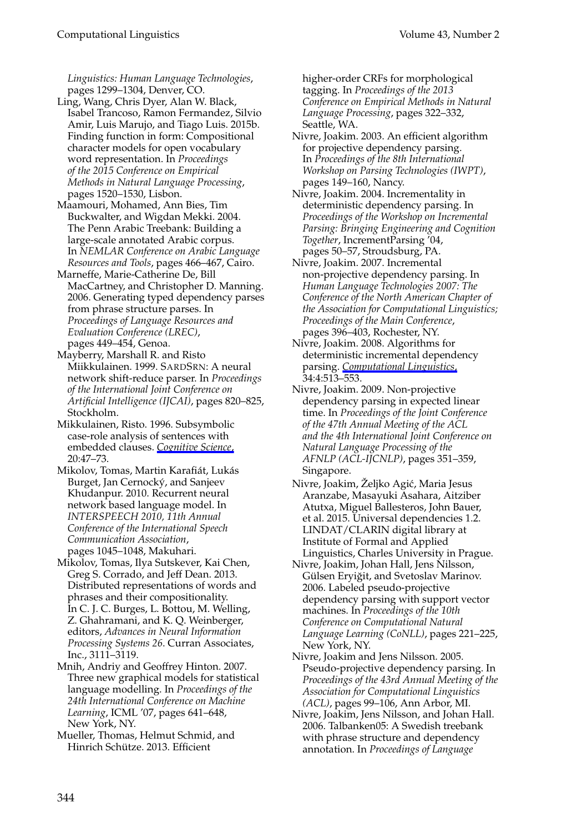*Linguistics: Human Language Technologies*, pages 1299–1304, Denver, CO.

- Ling, Wang, Chris Dyer, Alan W. Black, Isabel Trancoso, Ramon Fermandez, Silvio Amir, Luis Marujo, and Tiago Luis. 2015b. Finding function in form: Compositional character models for open vocabulary word representation. In *Proceedings of the 2015 Conference on Empirical Methods in Natural Language Processing*, pages 1520–1530, Lisbon.
- Maamouri, Mohamed, Ann Bies, Tim Buckwalter, and Wigdan Mekki. 2004. The Penn Arabic Treebank: Building a large-scale annotated Arabic corpus. In *NEMLAR Conference on Arabic Language Resources and Tools*, pages 466–467, Cairo.
- Marneffe, Marie-Catherine De, Bill MacCartney, and Christopher D. Manning. 2006. Generating typed dependency parses from phrase structure parses. In *Proceedings of Language Resources and Evaluation Conference (LREC)*, pages 449–454, Genoa.
- Mayberry, Marshall R. and Risto Miikkulainen. 1999. SARDSRN: A neural network shift-reduce parser. In *Proceedings of the International Joint Conference on Artificial Intelligence (IJCAI)*, pages 820–825, Stockholm.
- Mikkulainen, Risto. 1996. Subsymbolic case-role analysis of sentences with embedded clauses. *[Cognitive Science](http://www.mitpressjournals.org/action/showLinks?doi=10.1162%2FCOLI_a_00285&crossref=10.1207%2Fs15516709cog2001_2&citationId=p_76)*, 20:47–73.
- Mikolov, Tomas, Martin Karafiát, Lukás Burget, Jan Cernocký, and Sanjeev Khudanpur. 2010. Recurrent neural network based language model. In *INTERSPEECH 2010, 11th Annual Conference of the International Speech Communication Association*, pages 1045–1048, Makuhari.
- Mikolov, Tomas, Ilya Sutskever, Kai Chen, Greg S. Corrado, and Jeff Dean. 2013. Distributed representations of words and phrases and their compositionality. In C. J. C. Burges, L. Bottou, M. Welling, Z. Ghahramani, and K. Q. Weinberger, editors, *Advances in Neural Information Processing Systems 26*. Curran Associates, Inc., 3111–3119.
- Mnih, Andriy and Geoffrey Hinton. 2007. Three new graphical models for statistical language modelling. In *Proceedings of the 24th International Conference on Machine Learning*, ICML '07, pages 641–648, New York, NY.
- Mueller, Thomas, Helmut Schmid, and Hinrich Schutze. 2013. Efficient ¨

higher-order CRFs for morphological tagging. In *Proceedings of the 2013 Conference on Empirical Methods in Natural Language Processing*, pages 322–332, Seattle, WA.

- Nivre, Joakim. 2003. An efficient algorithm for projective dependency parsing. In *Proceedings of the 8th International Workshop on Parsing Technologies (IWPT)*, pages 149–160, Nancy.
- Nivre, Joakim. 2004. Incrementality in deterministic dependency parsing. In *Proceedings of the Workshop on Incremental Parsing: Bringing Engineering and Cognition Together*, IncrementParsing '04, pages 50–57, Stroudsburg, PA.
- Nivre, Joakim. 2007. Incremental non-projective dependency parsing. In *Human Language Technologies 2007: The Conference of the North American Chapter of the Association for Computational Linguistics; Proceedings of the Main Conference*, pages 396–403, Rochester, NY.
- Nivre, Joakim. 2008. Algorithms for deterministic incremental dependency parsing. *[Computational Linguistics](http://www.mitpressjournals.org/action/showLinks?doi=10.1162%2FCOLI_a_00285&system=10.1162%2Fcoli.07-056-R1-07-027&citationId=p_84)*, 34:4:513–553.
- Nivre, Joakim. 2009. Non-projective dependency parsing in expected linear time. In *Proceedings of the Joint Conference of the 47th Annual Meeting of the ACL and the 4th International Joint Conference on Natural Language Processing of the AFNLP (ACL-IJCNLP)*, pages 351–359, Singapore.
- Nivre, Joakim, Željko Agić, Maria Jesus Aranzabe, Masayuki Asahara, Aitziber Atutxa, Miguel Ballesteros, John Bauer, et al. 2015. Universal dependencies 1.2. LINDAT/CLARIN digital library at Institute of Formal and Applied Linguistics, Charles University in Prague.
- Nivre, Joakim, Johan Hall, Jens Nilsson, Gülsen Eryiğit, and Svetoslav Marinov. 2006. Labeled pseudo-projective dependency parsing with support vector machines. In *Proceedings of the 10th Conference on Computational Natural Language Learning (CoNLL)*, pages 221–225, New York, NY.
- Nivre, Joakim and Jens Nilsson. 2005. Pseudo-projective dependency parsing. In *Proceedings of the 43rd Annual Meeting of the Association for Computational Linguistics (ACL)*, pages 99–106, Ann Arbor, MI.
- Nivre, Joakim, Jens Nilsson, and Johan Hall. 2006. Talbanken05: A Swedish treebank with phrase structure and dependency annotation. In *Proceedings of Language*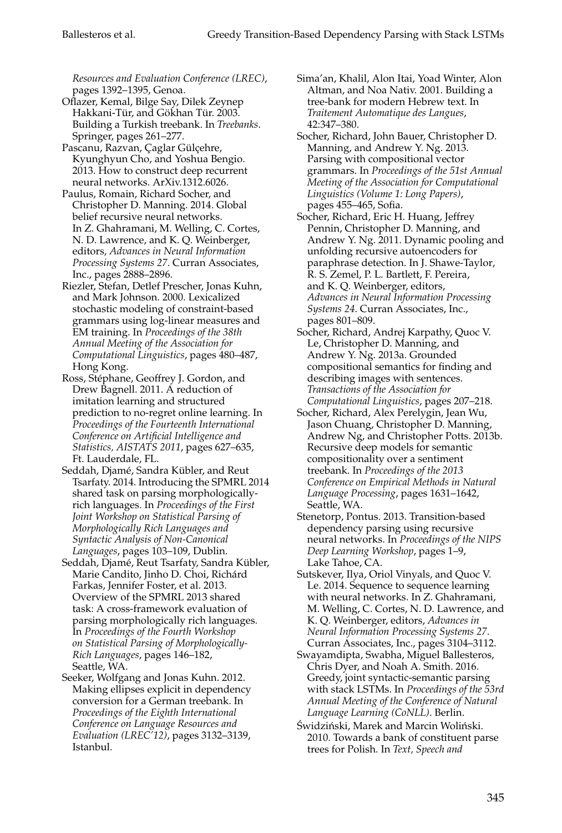*Resources and Evaluation Conference (LREC)*, pages 1392–1395, Genoa.

Oflazer, Kemal, Bilge Say, Dilek Zeynep Hakkani-Tür, and Gökhan Tür. 2003. Building a Turkish treebank. In *Treebanks*. Springer, pages 261–277.

Pascanu, Razvan, Çaglar Gülçehre, Kyunghyun Cho, and Yoshua Bengio. 2013. How to construct deep recurrent neural networks. ArXiv.1312.6026.

Paulus, Romain, Richard Socher, and Christopher D. Manning. 2014. Global belief recursive neural networks. In Z. Ghahramani, M. Welling, C. Cortes, N. D. Lawrence, and K. Q. Weinberger, editors, *Advances in Neural Information Processing Systems 27*. Curran Associates, Inc., pages 2888–2896.

Riezler, Stefan, Detlef Prescher, Jonas Kuhn, and Mark Johnson. 2000. Lexicalized stochastic modeling of constraint-based grammars using log-linear measures and EM training. In *Proceedings of the 38th Annual Meeting of the Association for Computational Linguistics*, pages 480–487, Hong Kong.

Ross, Stephane, Geoffrey J. Gordon, and ´ Drew Bagnell. 2011. A reduction of imitation learning and structured prediction to no-regret online learning. In *Proceedings of the Fourteenth International Conference on Artificial Intelligence and Statistics, AISTATS 2011*, pages 627–635, Ft. Lauderdale, FL.

Seddah, Djamé, Sandra Kübler, and Reut Tsarfaty. 2014. Introducing the SPMRL 2014 shared task on parsing morphologicallyrich languages. In *Proceedings of the First Joint Workshop on Statistical Parsing of Morphologically Rich Languages and Syntactic Analysis of Non-Canonical Languages*, pages 103–109, Dublin.

Seddah, Djamé, Reut Tsarfaty, Sandra Kübler, Marie Candito, Jinho D. Choi, Richárd Farkas, Jennifer Foster, et al. 2013. Overview of the SPMRL 2013 shared task: A cross-framework evaluation of parsing morphologically rich languages. In *Proceedings of the Fourth Workshop on Statistical Parsing of Morphologically-Rich Languages*, pages 146–182, Seattle, WA.

Seeker, Wolfgang and Jonas Kuhn. 2012. Making ellipses explicit in dependency conversion for a German treebank. In *Proceedings of the Eighth International Conference on Language Resources and Evaluation (LREC'12)*, pages 3132–3139, Istanbul.

Sima'an, Khalil, Alon Itai, Yoad Winter, Alon Altman, and Noa Nativ. 2001. Building a tree-bank for modern Hebrew text. In *Traitement Automatique des Langues*, 42:347–380.

Socher, Richard, John Bauer, Christopher D. Manning, and Andrew Y. Ng. 2013. Parsing with compositional vector grammars. In *Proceedings of the 51st Annual Meeting of the Association for Computational Linguistics (Volume 1: Long Papers)*, pages 455–465, Sofia.

Socher, Richard, Eric H. Huang, Jeffrey Pennin, Christopher D. Manning, and Andrew Y. Ng. 2011. Dynamic pooling and unfolding recursive autoencoders for paraphrase detection. In J. Shawe-Taylor, R. S. Zemel, P. L. Bartlett, F. Pereira, and K. Q. Weinberger, editors, *Advances in Neural Information Processing Systems 24*. Curran Associates, Inc., pages 801–809.

Socher, Richard, Andrej Karpathy, Quoc V. Le, Christopher D. Manning, and Andrew Y. Ng. 2013a. Grounded compositional semantics for finding and describing images with sentences. *Transactions of the Association for Computational Linguistics*, pages 207–218.

Socher, Richard, Alex Perelygin, Jean Wu, Jason Chuang, Christopher D. Manning, Andrew Ng, and Christopher Potts. 2013b. Recursive deep models for semantic compositionality over a sentiment treebank. In *Proceedings of the 2013 Conference on Empirical Methods in Natural Language Processing*, pages 1631–1642, Seattle, WA.

Stenetorp, Pontus. 2013. Transition-based dependency parsing using recursive neural networks. In *Proceedings of the NIPS Deep Learning Workshop*, pages 1–9, Lake Tahoe, CA.

Sutskever, Ilya, Oriol Vinyals, and Quoc V. Le. 2014. Sequence to sequence learning with neural networks. In Z. Ghahramani, M. Welling, C. Cortes, N. D. Lawrence, and K. Q. Weinberger, editors, *Advances in Neural Information Processing Systems 27*. Curran Associates, Inc., pages 3104–3112.

Swayamdipta, Swabha, Miguel Ballesteros, Chris Dyer, and Noah A. Smith. 2016. Greedy, joint syntactic-semantic parsing with stack LSTMs. In *Proceedings of the 53rd Annual Meeting of the Conference of Natural Language Learning (CoNLL)*. Berlin.

Świdziński, Marek and Marcin Woliński. 2010. Towards a bank of constituent parse trees for Polish. In *Text, Speech and*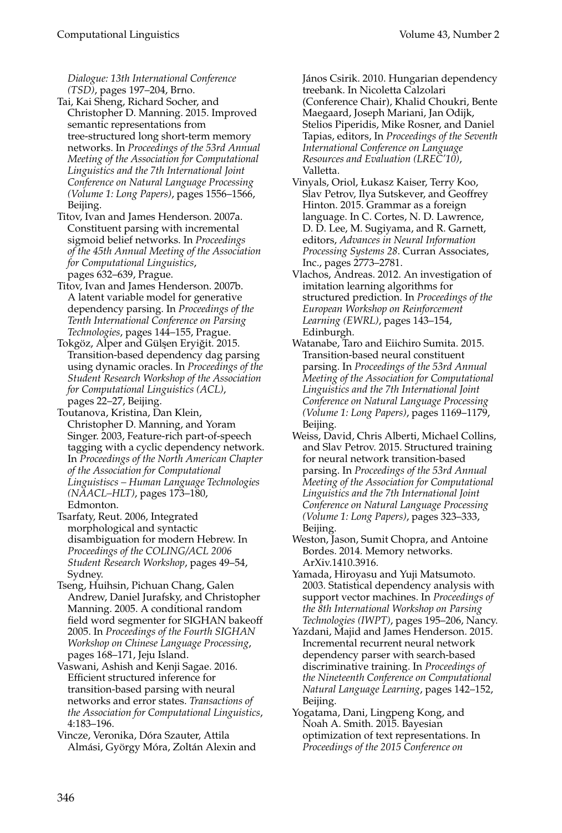*Dialogue: 13th International Conference (TSD)*, pages 197–204, Brno.

Tai, Kai Sheng, Richard Socher, and Christopher D. Manning. 2015. Improved semantic representations from tree-structured long short-term memory networks. In *Proceedings of the 53rd Annual Meeting of the Association for Computational Linguistics and the 7th International Joint Conference on Natural Language Processing (Volume 1: Long Papers)*, pages 1556–1566, Beijing.

Titov, Ivan and James Henderson. 2007a. Constituent parsing with incremental sigmoid belief networks. In *Proceedings of the 45th Annual Meeting of the Association for Computational Linguistics*, pages 632–639, Prague.

Titov, Ivan and James Henderson. 2007b. A latent variable model for generative dependency parsing. In *Proceedings of the Tenth International Conference on Parsing Technologies*, pages 144–155, Prague.

Tokgöz, Alper and Gülşen Eryiğit. 2015. Transition-based dependency dag parsing using dynamic oracles. In *Proceedings of the Student Research Workshop of the Association for Computational Linguistics (ACL)*, pages 22–27, Beijing.

Toutanova, Kristina, Dan Klein, Christopher D. Manning, and Yoram Singer. 2003, Feature-rich part-of-speech tagging with a cyclic dependency network. In *Proceedings of the North American Chapter of the Association for Computational Linguistiscs – Human Language Technologies (NAACL–HLT)*, pages 173–180, Edmonton.

Tsarfaty, Reut. 2006, Integrated morphological and syntactic disambiguation for modern Hebrew. In *Proceedings of the COLING/ACL 2006 Student Research Workshop*, pages 49–54, Sydney.

Tseng, Huihsin, Pichuan Chang, Galen Andrew, Daniel Jurafsky, and Christopher Manning. 2005. A conditional random field word segmenter for SIGHAN bakeoff 2005. In *Proceedings of the Fourth SIGHAN Workshop on Chinese Language Processing*, pages 168–171, Jeju Island.

Vaswani, Ashish and Kenji Sagae. 2016. Efficient structured inference for transition-based parsing with neural networks and error states. *Transactions of the Association for Computational Linguistics*, 4:183–196.

Vincze, Veronika, Dóra Szauter, Attila Almási, György Móra, Zoltán Alexin and János Csirik. 2010. Hungarian dependency treebank. In Nicoletta Calzolari (Conference Chair), Khalid Choukri, Bente Maegaard, Joseph Mariani, Jan Odijk, Stelios Piperidis, Mike Rosner, and Daniel Tapias, editors, In *Proceedings of the Seventh International Conference on Language Resources and Evaluation (LREC'10)*, Valletta.

Vinyals, Oriol, Łukasz Kaiser, Terry Koo, Slav Petrov, Ilya Sutskever, and Geoffrey Hinton. 2015. Grammar as a foreign language. In C. Cortes, N. D. Lawrence, D. D. Lee, M. Sugiyama, and R. Garnett, editors, *Advances in Neural Information Processing Systems 28*. Curran Associates, Inc., pages 2773–2781.

Vlachos, Andreas. 2012. An investigation of imitation learning algorithms for structured prediction. In *Proceedings of the European Workshop on Reinforcement Learning (EWRL)*, pages 143–154, Edinburgh.

Watanabe, Taro and Eiichiro Sumita. 2015. Transition-based neural constituent parsing. In *Proceedings of the 53rd Annual Meeting of the Association for Computational Linguistics and the 7th International Joint Conference on Natural Language Processing (Volume 1: Long Papers)*, pages 1169–1179, Beijing.

Weiss, David, Chris Alberti, Michael Collins, and Slav Petrov. 2015. Structured training for neural network transition-based parsing. In *Proceedings of the 53rd Annual Meeting of the Association for Computational Linguistics and the 7th International Joint Conference on Natural Language Processing (Volume 1: Long Papers)*, pages 323–333, Beijing.

Weston, Jason, Sumit Chopra, and Antoine Bordes. 2014. Memory networks. ArXiv.1410.3916.

Yamada, Hiroyasu and Yuji Matsumoto. 2003. Statistical dependency analysis with support vector machines. In *Proceedings of the 8th International Workshop on Parsing Technologies (IWPT)*, pages 195–206, Nancy.

Yazdani, Majid and James Henderson. 2015. Incremental recurrent neural network dependency parser with search-based discriminative training. In *Proceedings of the Nineteenth Conference on Computational Natural Language Learning*, pages 142–152, Beijing.

Yogatama, Dani, Lingpeng Kong, and Noah A. Smith. 2015. Bayesian optimization of text representations. In *Proceedings of the 2015 Conference on*